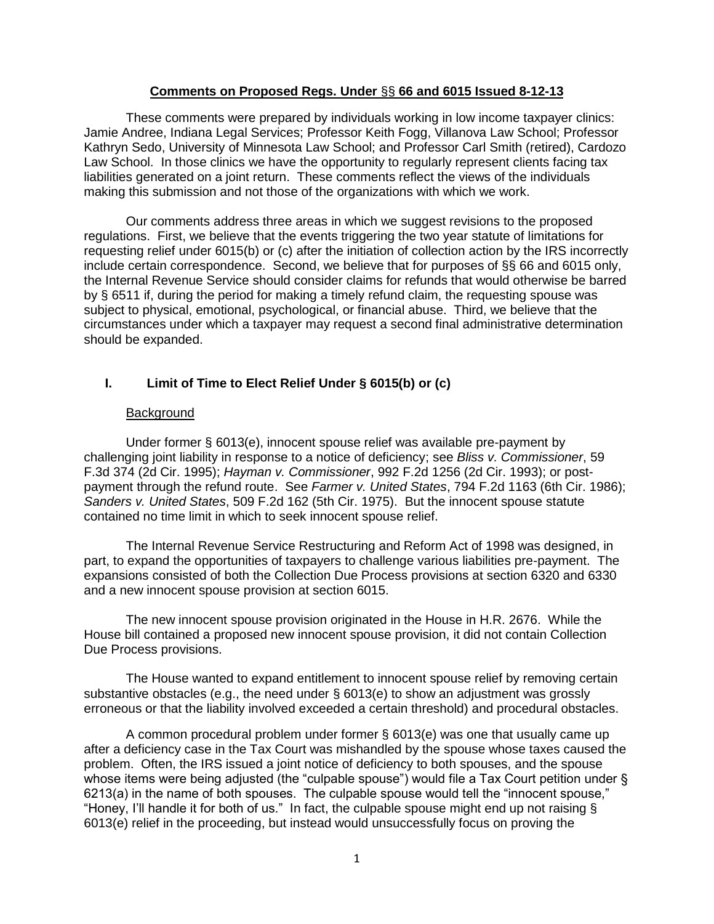### **Comments on Proposed Regs. Under** §§ **66 and 6015 Issued 8-12-13**

These comments were prepared by individuals working in low income taxpayer clinics: Jamie Andree, Indiana Legal Services; Professor Keith Fogg, Villanova Law School; Professor Kathryn Sedo, University of Minnesota Law School; and Professor Carl Smith (retired), Cardozo Law School. In those clinics we have the opportunity to regularly represent clients facing tax liabilities generated on a joint return. These comments reflect the views of the individuals making this submission and not those of the organizations with which we work.

Our comments address three areas in which we suggest revisions to the proposed regulations. First, we believe that the events triggering the two year statute of limitations for requesting relief under 6015(b) or (c) after the initiation of collection action by the IRS incorrectly include certain correspondence. Second, we believe that for purposes of §§ 66 and 6015 only, the Internal Revenue Service should consider claims for refunds that would otherwise be barred by § 6511 if, during the period for making a timely refund claim, the requesting spouse was subject to physical, emotional, psychological, or financial abuse. Third, we believe that the circumstances under which a taxpayer may request a second final administrative determination should be expanded.

# **I. Limit of Time to Elect Relief Under § 6015(b) or (c)**

## Background

Under former § 6013(e), innocent spouse relief was available pre-payment by challenging joint liability in response to a notice of deficiency; see *Bliss v. Commissioner*, 59 F.3d 374 (2d Cir. 1995); *Hayman v. Commissioner*, 992 F.2d 1256 (2d Cir. 1993); or postpayment through the refund route. See *Farmer v. United States*, 794 F.2d 1163 (6th Cir. 1986); *Sanders v. United States*, 509 F.2d 162 (5th Cir. 1975). But the innocent spouse statute contained no time limit in which to seek innocent spouse relief.

The Internal Revenue Service Restructuring and Reform Act of 1998 was designed, in part, to expand the opportunities of taxpayers to challenge various liabilities pre-payment. The expansions consisted of both the Collection Due Process provisions at section 6320 and 6330 and a new innocent spouse provision at section 6015.

The new innocent spouse provision originated in the House in H.R. 2676. While the House bill contained a proposed new innocent spouse provision, it did not contain Collection Due Process provisions.

The House wanted to expand entitlement to innocent spouse relief by removing certain substantive obstacles (e.g., the need under § 6013(e) to show an adjustment was grossly erroneous or that the liability involved exceeded a certain threshold) and procedural obstacles.

A common procedural problem under former § 6013(e) was one that usually came up after a deficiency case in the Tax Court was mishandled by the spouse whose taxes caused the problem. Often, the IRS issued a joint notice of deficiency to both spouses, and the spouse whose items were being adjusted (the "culpable spouse") would file a Tax Court petition under § 6213(a) in the name of both spouses. The culpable spouse would tell the "innocent spouse," "Honey, I'll handle it for both of us." In fact, the culpable spouse might end up not raising § 6013(e) relief in the proceeding, but instead would unsuccessfully focus on proving the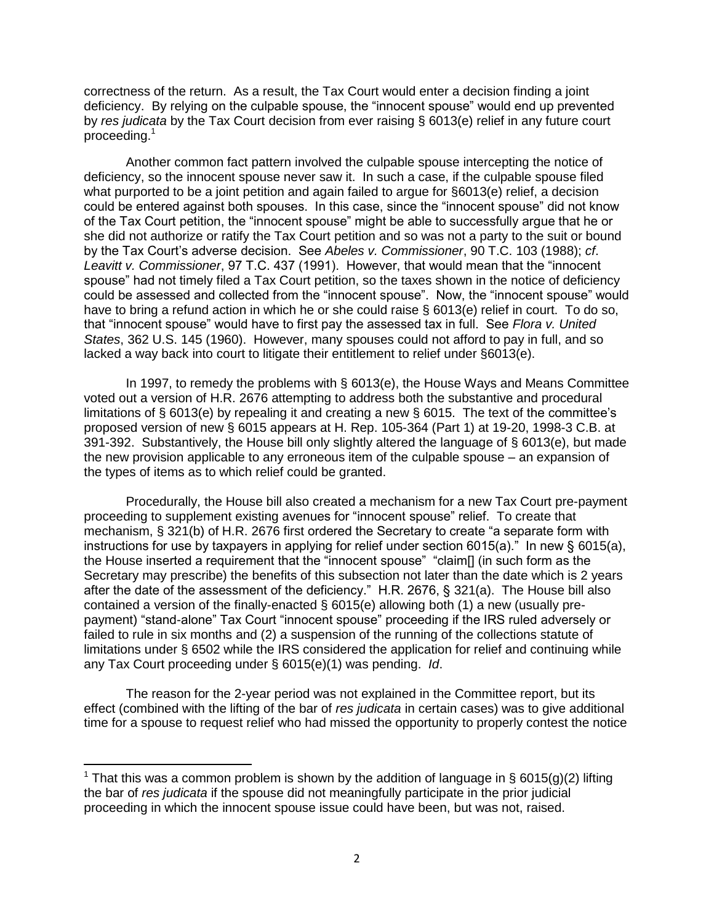correctness of the return. As a result, the Tax Court would enter a decision finding a joint deficiency. By relying on the culpable spouse, the "innocent spouse" would end up prevented by *res judicata* by the Tax Court decision from ever raising § 6013(e) relief in any future court proceeding.<sup>1</sup>

Another common fact pattern involved the culpable spouse intercepting the notice of deficiency, so the innocent spouse never saw it. In such a case, if the culpable spouse filed what purported to be a joint petition and again failed to argue for §6013(e) relief, a decision could be entered against both spouses. In this case, since the "innocent spouse" did not know of the Tax Court petition, the "innocent spouse" might be able to successfully argue that he or she did not authorize or ratify the Tax Court petition and so was not a party to the suit or bound by the Tax Court's adverse decision. See *Abeles v. Commissioner*, 90 T.C. 103 (1988); *cf*. *Leavitt v. Commissioner*, 97 T.C. 437 (1991). However, that would mean that the "innocent spouse" had not timely filed a Tax Court petition, so the taxes shown in the notice of deficiency could be assessed and collected from the "innocent spouse". Now, the "innocent spouse" would have to bring a refund action in which he or she could raise § 6013(e) relief in court. To do so, that "innocent spouse" would have to first pay the assessed tax in full. See *Flora v. United States*, 362 U.S. 145 (1960). However, many spouses could not afford to pay in full, and so lacked a way back into court to litigate their entitlement to relief under §6013(e).

In 1997, to remedy the problems with § 6013(e), the House Ways and Means Committee voted out a version of H.R. 2676 attempting to address both the substantive and procedural limitations of § 6013(e) by repealing it and creating a new § 6015. The text of the committee's proposed version of new § 6015 appears at H. Rep. 105-364 (Part 1) at 19-20, 1998-3 C.B. at 391-392. Substantively, the House bill only slightly altered the language of § 6013(e), but made the new provision applicable to any erroneous item of the culpable spouse – an expansion of the types of items as to which relief could be granted.

Procedurally, the House bill also created a mechanism for a new Tax Court pre-payment proceeding to supplement existing avenues for "innocent spouse" relief. To create that mechanism, § 321(b) of H.R. 2676 first ordered the Secretary to create "a separate form with instructions for use by taxpayers in applying for relief under section  $6015(a)$ ." In new §  $6015(a)$ , the House inserted a requirement that the "innocent spouse" "claim[] (in such form as the Secretary may prescribe) the benefits of this subsection not later than the date which is 2 years after the date of the assessment of the deficiency." H.R. 2676, § 321(a). The House bill also contained a version of the finally-enacted § 6015(e) allowing both (1) a new (usually prepayment) "stand-alone" Tax Court "innocent spouse" proceeding if the IRS ruled adversely or failed to rule in six months and (2) a suspension of the running of the collections statute of limitations under § 6502 while the IRS considered the application for relief and continuing while any Tax Court proceeding under § 6015(e)(1) was pending. *Id*.

The reason for the 2-year period was not explained in the Committee report, but its effect (combined with the lifting of the bar of *res judicata* in certain cases) was to give additional time for a spouse to request relief who had missed the opportunity to properly contest the notice

 $\overline{\phantom{a}}$ 

<sup>&</sup>lt;sup>1</sup> That this was a common problem is shown by the addition of language in § 6015(g)(2) lifting the bar of *res judicata* if the spouse did not meaningfully participate in the prior judicial proceeding in which the innocent spouse issue could have been, but was not, raised.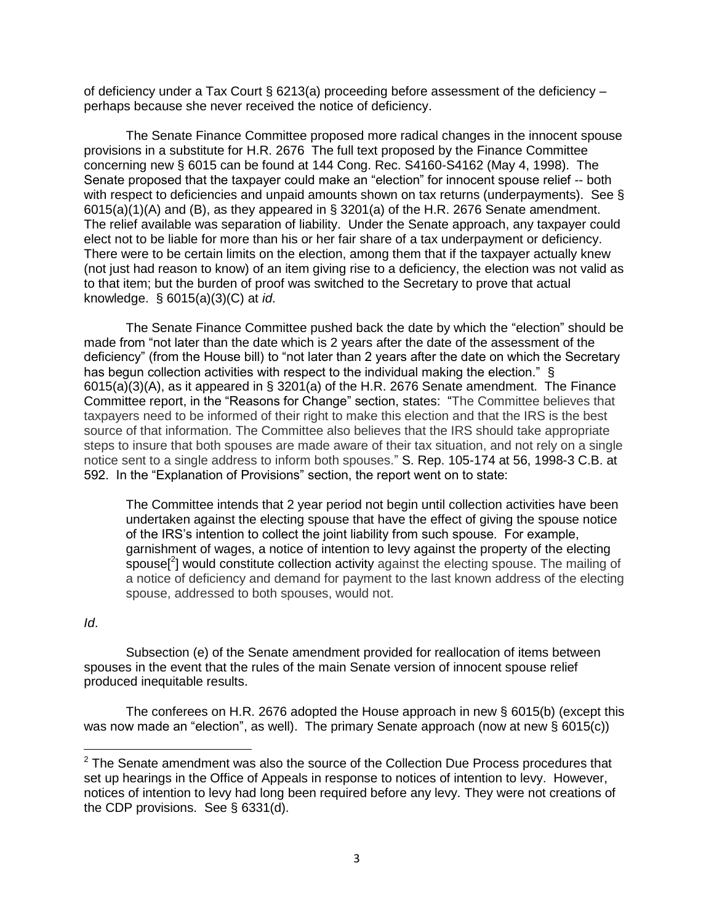of deficiency under a Tax Court § 6213(a) proceeding before assessment of the deficiency  $$ perhaps because she never received the notice of deficiency.

The Senate Finance Committee proposed more radical changes in the innocent spouse provisions in a substitute for H.R. 2676 The full text proposed by the Finance Committee concerning new § 6015 can be found at 144 Cong. Rec. S4160-S4162 (May 4, 1998). The Senate proposed that the taxpayer could make an "election" for innocent spouse relief -- both with respect to deficiencies and unpaid amounts shown on tax returns (underpayments). See § 6015(a)(1)(A) and (B), as they appeared in § 3201(a) of the H.R. 2676 Senate amendment. The relief available was separation of liability. Under the Senate approach, any taxpayer could elect not to be liable for more than his or her fair share of a tax underpayment or deficiency. There were to be certain limits on the election, among them that if the taxpayer actually knew (not just had reason to know) of an item giving rise to a deficiency, the election was not valid as to that item; but the burden of proof was switched to the Secretary to prove that actual knowledge. § 6015(a)(3)(C) at *id*.

The Senate Finance Committee pushed back the date by which the "election" should be made from "not later than the date which is 2 years after the date of the assessment of the deficiency" (from the House bill) to "not later than 2 years after the date on which the Secretary has begun collection activities with respect to the individual making the election." § 6015(a)(3)(A), as it appeared in § 3201(a) of the H.R. 2676 Senate amendment. The Finance Committee report, in the "Reasons for Change" section, states: "The Committee believes that taxpayers need to be informed of their right to make this election and that the IRS is the best source of that information. The Committee also believes that the IRS should take appropriate steps to insure that both spouses are made aware of their tax situation, and not rely on a single notice sent to a single address to inform both spouses." S. Rep. 105-174 at 56, 1998-3 C.B. at 592. In the "Explanation of Provisions" section, the report went on to state:

The Committee intends that 2 year period not begin until collection activities have been undertaken against the electing spouse that have the effect of giving the spouse notice of the IRS's intention to collect the joint liability from such spouse. For example, garnishment of wages, a notice of intention to levy against the property of the electing spouse<sup>[2</sup>] would constitute collection activity against the electing spouse. The mailing of a notice of deficiency and demand for payment to the last known address of the electing spouse, addressed to both spouses, would not.

## *Id*.

 $\overline{\phantom{a}}$ 

Subsection (e) of the Senate amendment provided for reallocation of items between spouses in the event that the rules of the main Senate version of innocent spouse relief produced inequitable results.

The conferees on H.R. 2676 adopted the House approach in new § 6015(b) (except this was now made an "election", as well). The primary Senate approach (now at new § 6015(c))

 $2$  The Senate amendment was also the source of the Collection Due Process procedures that set up hearings in the Office of Appeals in response to notices of intention to levy. However, notices of intention to levy had long been required before any levy. They were not creations of the CDP provisions. See § 6331(d).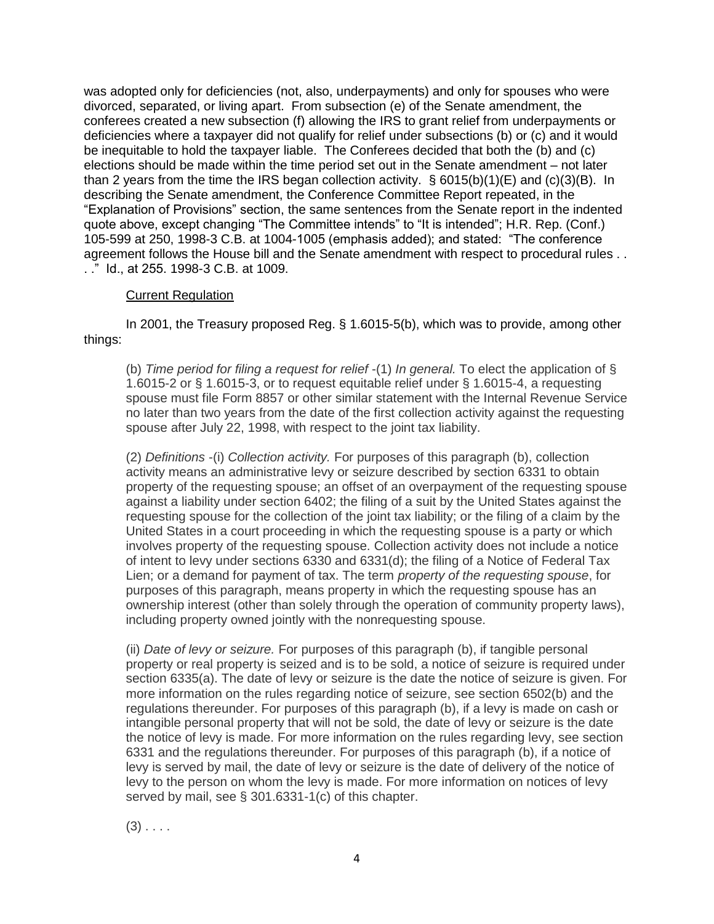was adopted only for deficiencies (not, also, underpayments) and only for spouses who were divorced, separated, or living apart. From subsection (e) of the Senate amendment, the conferees created a new subsection (f) allowing the IRS to grant relief from underpayments or deficiencies where a taxpayer did not qualify for relief under subsections (b) or (c) and it would be inequitable to hold the taxpayer liable. The Conferees decided that both the (b) and (c) elections should be made within the time period set out in the Senate amendment – not later than 2 years from the time the IRS began collection activity. § 6015(b)(1)(E) and (c)(3)(B). In describing the Senate amendment, the Conference Committee Report repeated, in the "Explanation of Provisions" section, the same sentences from the Senate report in the indented quote above, except changing "The Committee intends" to "It is intended"; H.R. Rep. (Conf.) 105-599 at 250, 1998-3 C.B. at 1004-1005 (emphasis added); and stated: "The conference agreement follows the House bill and the Senate amendment with respect to procedural rules . . . ." Id., at 255. 1998-3 C.B. at 1009.

## **Current Regulation**

In 2001, the Treasury proposed Reg. § 1.6015-5(b), which was to provide, among other things:

(b) *Time period for filing a request for relief* -(1) *In general.* To elect the application of § 1.6015-2 or § 1.6015-3, or to request equitable relief under § 1.6015-4, a requesting spouse must file Form 8857 or other similar statement with the Internal Revenue Service no later than two years from the date of the first collection activity against the requesting spouse after July 22, 1998, with respect to the joint tax liability.

(2) *Definitions* -(i) *Collection activity.* For purposes of this paragraph (b), collection activity means an administrative levy or seizure described by section 6331 to obtain property of the requesting spouse; an offset of an overpayment of the requesting spouse against a liability under section 6402; the filing of a suit by the United States against the requesting spouse for the collection of the joint tax liability; or the filing of a claim by the United States in a court proceeding in which the requesting spouse is a party or which involves property of the requesting spouse. Collection activity does not include a notice of intent to levy under sections 6330 and 6331(d); the filing of a Notice of Federal Tax Lien; or a demand for payment of tax. The term *property of the requesting spouse*, for purposes of this paragraph, means property in which the requesting spouse has an ownership interest (other than solely through the operation of community property laws), including property owned jointly with the nonrequesting spouse.

(ii) *Date of levy or seizure.* For purposes of this paragraph (b), if tangible personal property or real property is seized and is to be sold, a notice of seizure is required under section 6335(a). The date of levy or seizure is the date the notice of seizure is given. For more information on the rules regarding notice of seizure, see section 6502(b) and the regulations thereunder. For purposes of this paragraph (b), if a levy is made on cash or intangible personal property that will not be sold, the date of levy or seizure is the date the notice of levy is made. For more information on the rules regarding levy, see section 6331 and the regulations thereunder. For purposes of this paragraph (b), if a notice of levy is served by mail, the date of levy or seizure is the date of delivery of the notice of levy to the person on whom the levy is made. For more information on notices of levy served by mail, see § 301.6331-1(c) of this chapter.

 $(3)$  . . . .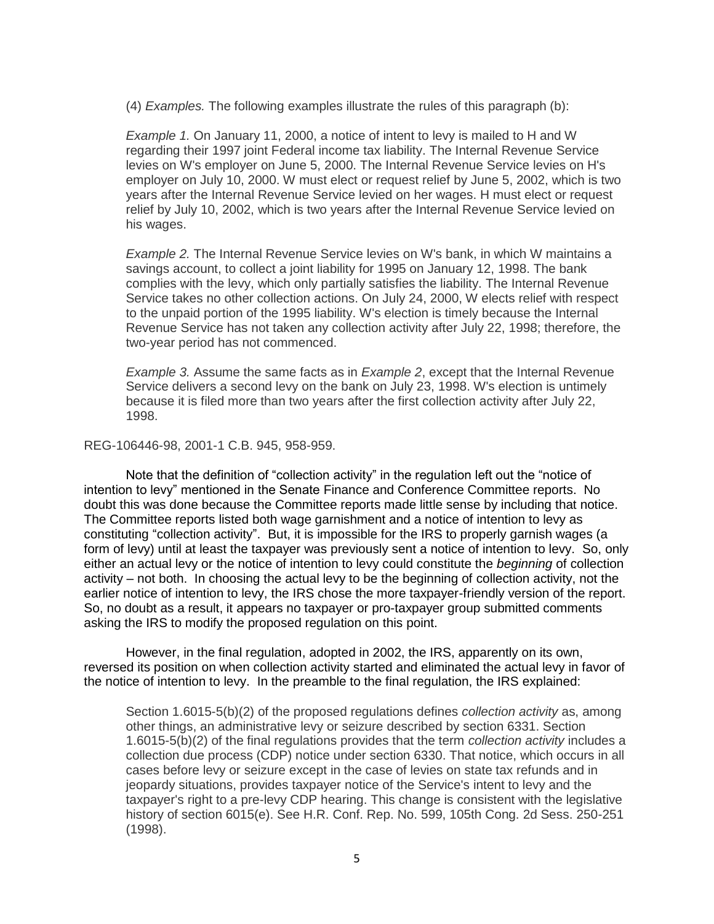(4) *Examples.* The following examples illustrate the rules of this paragraph (b):

*Example 1.* On January 11, 2000, a notice of intent to levy is mailed to H and W regarding their 1997 joint Federal income tax liability. The Internal Revenue Service levies on W's employer on June 5, 2000. The Internal Revenue Service levies on H's employer on July 10, 2000. W must elect or request relief by June 5, 2002, which is two years after the Internal Revenue Service levied on her wages. H must elect or request relief by July 10, 2002, which is two years after the Internal Revenue Service levied on his wages.

*Example 2.* The Internal Revenue Service levies on W's bank, in which W maintains a savings account, to collect a joint liability for 1995 on January 12, 1998. The bank complies with the levy, which only partially satisfies the liability. The Internal Revenue Service takes no other collection actions. On July 24, 2000, W elects relief with respect to the unpaid portion of the 1995 liability. W's election is timely because the Internal Revenue Service has not taken any collection activity after July 22, 1998; therefore, the two-year period has not commenced.

*Example 3.* Assume the same facts as in *Example 2*, except that the Internal Revenue Service delivers a second levy on the bank on July 23, 1998. W's election is untimely because it is filed more than two years after the first collection activity after July 22, 1998.

### REG-106446-98, 2001-1 C.B. 945, 958-959.

Note that the definition of "collection activity" in the regulation left out the "notice of intention to levy" mentioned in the Senate Finance and Conference Committee reports. No doubt this was done because the Committee reports made little sense by including that notice. The Committee reports listed both wage garnishment and a notice of intention to levy as constituting "collection activity". But, it is impossible for the IRS to properly garnish wages (a form of levy) until at least the taxpayer was previously sent a notice of intention to levy. So, only either an actual levy or the notice of intention to levy could constitute the *beginning* of collection activity – not both. In choosing the actual levy to be the beginning of collection activity, not the earlier notice of intention to levy, the IRS chose the more taxpayer-friendly version of the report. So, no doubt as a result, it appears no taxpayer or pro-taxpayer group submitted comments asking the IRS to modify the proposed regulation on this point.

However, in the final regulation, adopted in 2002, the IRS, apparently on its own, reversed its position on when collection activity started and eliminated the actual levy in favor of the notice of intention to levy. In the preamble to the final regulation, the IRS explained:

Section 1.6015-5(b)(2) of the proposed regulations defines *collection activity* as, among other things, an administrative levy or seizure described by section 6331. Section 1.6015-5(b)(2) of the final regulations provides that the term *collection activity* includes a collection due process (CDP) notice under section 6330. That notice, which occurs in all cases before levy or seizure except in the case of levies on state tax refunds and in jeopardy situations, provides taxpayer notice of the Service's intent to levy and the taxpayer's right to a pre-levy CDP hearing. This change is consistent with the legislative history of section 6015(e). See H.R. Conf. Rep. No. 599, 105th Cong. 2d Sess. 250-251 (1998).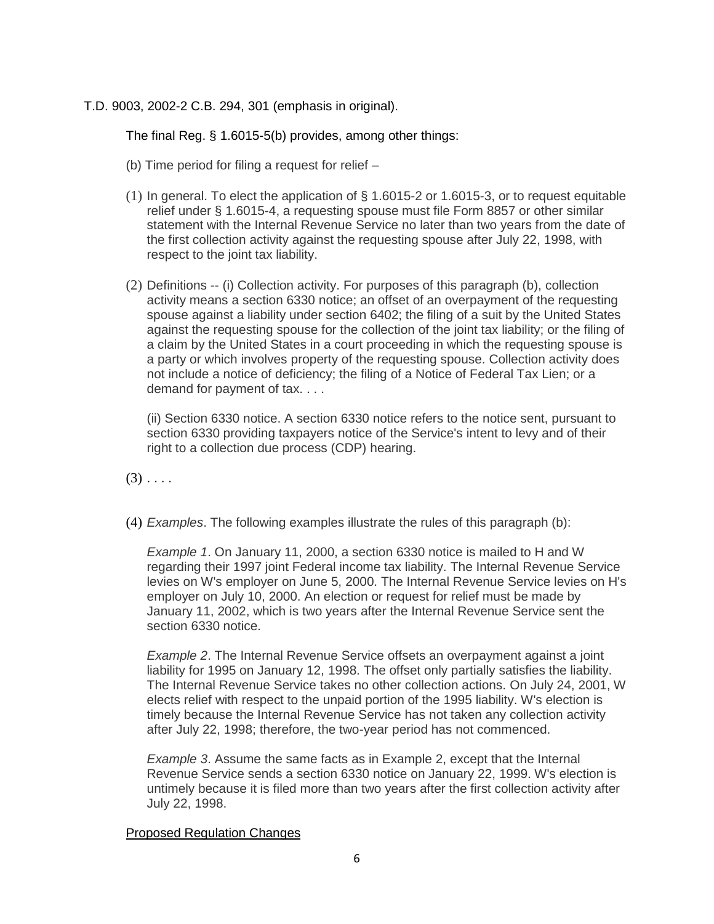T.D. 9003, 2002-2 C.B. 294, 301 (emphasis in original).

The final Reg. § 1.6015-5(b) provides, among other things:

- (b) Time period for filing a request for relief –
- (1) In general. To elect the application of § 1.6015-2 or 1.6015-3, or to request equitable relief under § 1.6015-4, a requesting spouse must file Form 8857 or other similar statement with the Internal Revenue Service no later than two years from the date of the first collection activity against the requesting spouse after July 22, 1998, with respect to the joint tax liability.
- (2) Definitions -- (i) Collection activity. For purposes of this paragraph (b), collection activity means a section 6330 notice; an offset of an overpayment of the requesting spouse against a liability under section 6402; the filing of a suit by the United States against the requesting spouse for the collection of the joint tax liability; or the filing of a claim by the United States in a court proceeding in which the requesting spouse is a party or which involves property of the requesting spouse. Collection activity does not include a notice of deficiency; the filing of a Notice of Federal Tax Lien; or a demand for payment of tax. . . .

(ii) Section 6330 notice. A section 6330 notice refers to the notice sent, pursuant to section 6330 providing taxpayers notice of the Service's intent to levy and of their right to a collection due process (CDP) hearing.

 $(3)$  . . . .

(4) *Examples*. The following examples illustrate the rules of this paragraph (b):

*Example 1*. On January 11, 2000, a section 6330 notice is mailed to H and W regarding their 1997 joint Federal income tax liability. The Internal Revenue Service levies on W's employer on June 5, 2000. The Internal Revenue Service levies on H's employer on July 10, 2000. An election or request for relief must be made by January 11, 2002, which is two years after the Internal Revenue Service sent the section 6330 notice.

*Example 2*. The Internal Revenue Service offsets an overpayment against a joint liability for 1995 on January 12, 1998. The offset only partially satisfies the liability. The Internal Revenue Service takes no other collection actions. On July 24, 2001, W elects relief with respect to the unpaid portion of the 1995 liability. W's election is timely because the Internal Revenue Service has not taken any collection activity after July 22, 1998; therefore, the two-year period has not commenced.

*Example 3*. Assume the same facts as in Example 2, except that the Internal Revenue Service sends a section 6330 notice on January 22, 1999. W's election is untimely because it is filed more than two years after the first collection activity after July 22, 1998.

### Proposed Regulation Changes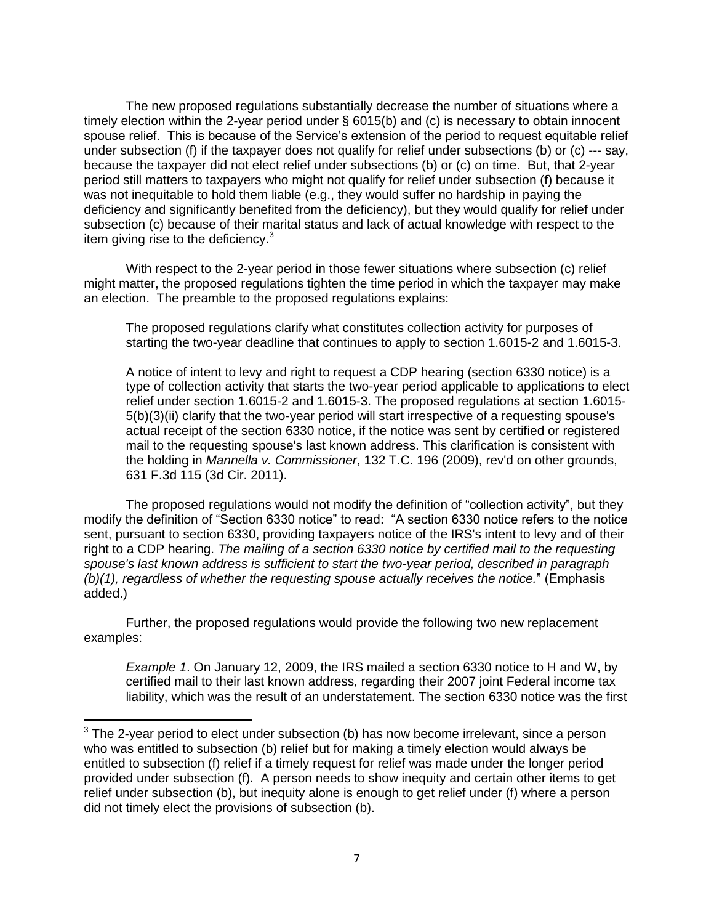The new proposed regulations substantially decrease the number of situations where a timely election within the 2-year period under § 6015(b) and (c) is necessary to obtain innocent spouse relief. This is because of the Service's extension of the period to request equitable relief under subsection (f) if the taxpayer does not qualify for relief under subsections (b) or (c) --- say, because the taxpayer did not elect relief under subsections (b) or (c) on time. But, that 2-year period still matters to taxpayers who might not qualify for relief under subsection (f) because it was not inequitable to hold them liable (e.g., they would suffer no hardship in paying the deficiency and significantly benefited from the deficiency), but they would qualify for relief under subsection (c) because of their marital status and lack of actual knowledge with respect to the item giving rise to the deficiency. $3$ 

With respect to the 2-year period in those fewer situations where subsection (c) relief might matter, the proposed regulations tighten the time period in which the taxpayer may make an election. The preamble to the proposed regulations explains:

The proposed regulations clarify what constitutes collection activity for purposes of starting the two-year deadline that continues to apply to section 1.6015-2 and 1.6015-3.

A notice of intent to levy and right to request a CDP hearing (section 6330 notice) is a type of collection activity that starts the two-year period applicable to applications to elect relief under section 1.6015-2 and 1.6015-3. The proposed regulations at section 1.6015- 5(b)(3)(ii) clarify that the two-year period will start irrespective of a requesting spouse's actual receipt of the section 6330 notice, if the notice was sent by certified or registered mail to the requesting spouse's last known address. This clarification is consistent with the holding in *Mannella v. Commissioner*, 132 T.C. 196 (2009), rev'd on other grounds, 631 F.3d 115 (3d Cir. 2011).

The proposed regulations would not modify the definition of "collection activity", but they modify the definition of "Section 6330 notice" to read: "A section 6330 notice refers to the notice sent, pursuant to section 6330, providing taxpayers notice of the IRS's intent to levy and of their right to a CDP hearing. *The mailing of a section 6330 notice by certified mail to the requesting spouse's last known address is sufficient to start the two-year period, described in paragraph (b)(1), regardless of whether the requesting spouse actually receives the notice.*" (Emphasis added.)

Further, the proposed regulations would provide the following two new replacement examples:

 $\overline{\phantom{a}}$ 

*Example 1*. On January 12, 2009, the IRS mailed a section 6330 notice to H and W, by certified mail to their last known address, regarding their 2007 joint Federal income tax liability, which was the result of an understatement. The section 6330 notice was the first

 $3$  The 2-year period to elect under subsection (b) has now become irrelevant, since a person who was entitled to subsection (b) relief but for making a timely election would always be entitled to subsection (f) relief if a timely request for relief was made under the longer period provided under subsection (f). A person needs to show inequity and certain other items to get relief under subsection (b), but inequity alone is enough to get relief under (f) where a person did not timely elect the provisions of subsection (b).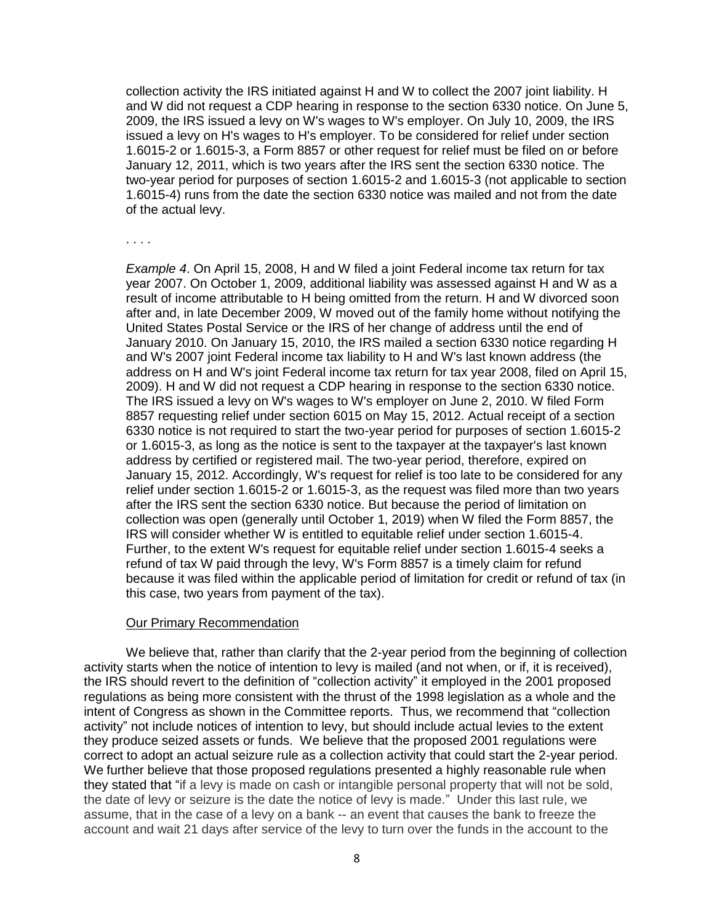collection activity the IRS initiated against H and W to collect the 2007 joint liability. H and W did not request a CDP hearing in response to the section 6330 notice. On June 5, 2009, the IRS issued a levy on W's wages to W's employer. On July 10, 2009, the IRS issued a levy on H's wages to H's employer. To be considered for relief under section 1.6015-2 or 1.6015-3, a Form 8857 or other request for relief must be filed on or before January 12, 2011, which is two years after the IRS sent the section 6330 notice. The two-year period for purposes of section 1.6015-2 and 1.6015-3 (not applicable to section 1.6015-4) runs from the date the section 6330 notice was mailed and not from the date of the actual levy.

. . . .

*Example 4*. On April 15, 2008, H and W filed a joint Federal income tax return for tax year 2007. On October 1, 2009, additional liability was assessed against H and W as a result of income attributable to H being omitted from the return. H and W divorced soon after and, in late December 2009, W moved out of the family home without notifying the United States Postal Service or the IRS of her change of address until the end of January 2010. On January 15, 2010, the IRS mailed a section 6330 notice regarding H and W's 2007 joint Federal income tax liability to H and W's last known address (the address on H and W's joint Federal income tax return for tax year 2008, filed on April 15, 2009). H and W did not request a CDP hearing in response to the section 6330 notice. The IRS issued a levy on W's wages to W's employer on June 2, 2010. W filed Form 8857 requesting relief under section 6015 on May 15, 2012. Actual receipt of a section 6330 notice is not required to start the two-year period for purposes of section 1.6015-2 or 1.6015-3, as long as the notice is sent to the taxpayer at the taxpayer's last known address by certified or registered mail. The two-year period, therefore, expired on January 15, 2012. Accordingly, W's request for relief is too late to be considered for any relief under section 1.6015-2 or 1.6015-3, as the request was filed more than two years after the IRS sent the section 6330 notice. But because the period of limitation on collection was open (generally until October 1, 2019) when W filed the Form 8857, the IRS will consider whether W is entitled to equitable relief under section 1.6015-4. Further, to the extent W's request for equitable relief under section 1.6015-4 seeks a refund of tax W paid through the levy, W's Form 8857 is a timely claim for refund because it was filed within the applicable period of limitation for credit or refund of tax (in this case, two years from payment of the tax).

#### Our Primary Recommendation

We believe that, rather than clarify that the 2-year period from the beginning of collection activity starts when the notice of intention to levy is mailed (and not when, or if, it is received), the IRS should revert to the definition of "collection activity" it employed in the 2001 proposed regulations as being more consistent with the thrust of the 1998 legislation as a whole and the intent of Congress as shown in the Committee reports. Thus, we recommend that "collection activity" not include notices of intention to levy, but should include actual levies to the extent they produce seized assets or funds. We believe that the proposed 2001 regulations were correct to adopt an actual seizure rule as a collection activity that could start the 2-year period. We further believe that those proposed regulations presented a highly reasonable rule when they stated that "if a levy is made on cash or intangible personal property that will not be sold, the date of levy or seizure is the date the notice of levy is made." Under this last rule, we assume, that in the case of a levy on a bank -- an event that causes the bank to freeze the account and wait 21 days after service of the levy to turn over the funds in the account to the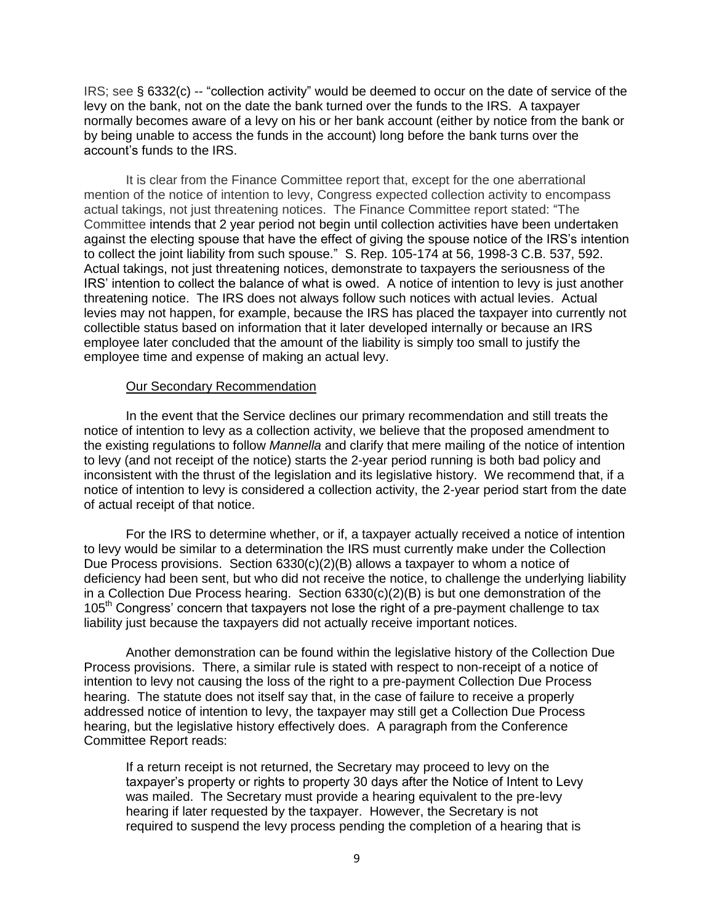IRS; see § 6332(c) -- "collection activity" would be deemed to occur on the date of service of the levy on the bank, not on the date the bank turned over the funds to the IRS. A taxpayer normally becomes aware of a levy on his or her bank account (either by notice from the bank or by being unable to access the funds in the account) long before the bank turns over the account's funds to the IRS.

It is clear from the Finance Committee report that, except for the one aberrational mention of the notice of intention to levy, Congress expected collection activity to encompass actual takings, not just threatening notices. The Finance Committee report stated: "The Committee intends that 2 year period not begin until collection activities have been undertaken against the electing spouse that have the effect of giving the spouse notice of the IRS's intention to collect the joint liability from such spouse." S. Rep. 105-174 at 56, 1998-3 C.B. 537, 592. Actual takings, not just threatening notices, demonstrate to taxpayers the seriousness of the IRS' intention to collect the balance of what is owed. A notice of intention to levy is just another threatening notice. The IRS does not always follow such notices with actual levies. Actual levies may not happen, for example, because the IRS has placed the taxpayer into currently not collectible status based on information that it later developed internally or because an IRS employee later concluded that the amount of the liability is simply too small to justify the employee time and expense of making an actual levy.

#### Our Secondary Recommendation

In the event that the Service declines our primary recommendation and still treats the notice of intention to levy as a collection activity, we believe that the proposed amendment to the existing regulations to follow *Mannella* and clarify that mere mailing of the notice of intention to levy (and not receipt of the notice) starts the 2-year period running is both bad policy and inconsistent with the thrust of the legislation and its legislative history. We recommend that, if a notice of intention to levy is considered a collection activity, the 2-year period start from the date of actual receipt of that notice.

For the IRS to determine whether, or if, a taxpayer actually received a notice of intention to levy would be similar to a determination the IRS must currently make under the Collection Due Process provisions. Section  $6330(c)(2)(B)$  allows a taxpayer to whom a notice of deficiency had been sent, but who did not receive the notice, to challenge the underlying liability in a Collection Due Process hearing. Section 6330(c)(2)(B) is but one demonstration of the 105<sup>th</sup> Congress' concern that taxpayers not lose the right of a pre-payment challenge to tax liability just because the taxpayers did not actually receive important notices.

Another demonstration can be found within the legislative history of the Collection Due Process provisions. There, a similar rule is stated with respect to non-receipt of a notice of intention to levy not causing the loss of the right to a pre-payment Collection Due Process hearing. The statute does not itself say that, in the case of failure to receive a properly addressed notice of intention to levy, the taxpayer may still get a Collection Due Process hearing, but the legislative history effectively does. A paragraph from the Conference Committee Report reads:

If a return receipt is not returned, the Secretary may proceed to levy on the taxpayer's property or rights to property 30 days after the Notice of Intent to Levy was mailed. The Secretary must provide a hearing equivalent to the pre-levy hearing if later requested by the taxpayer. However, the Secretary is not required to suspend the levy process pending the completion of a hearing that is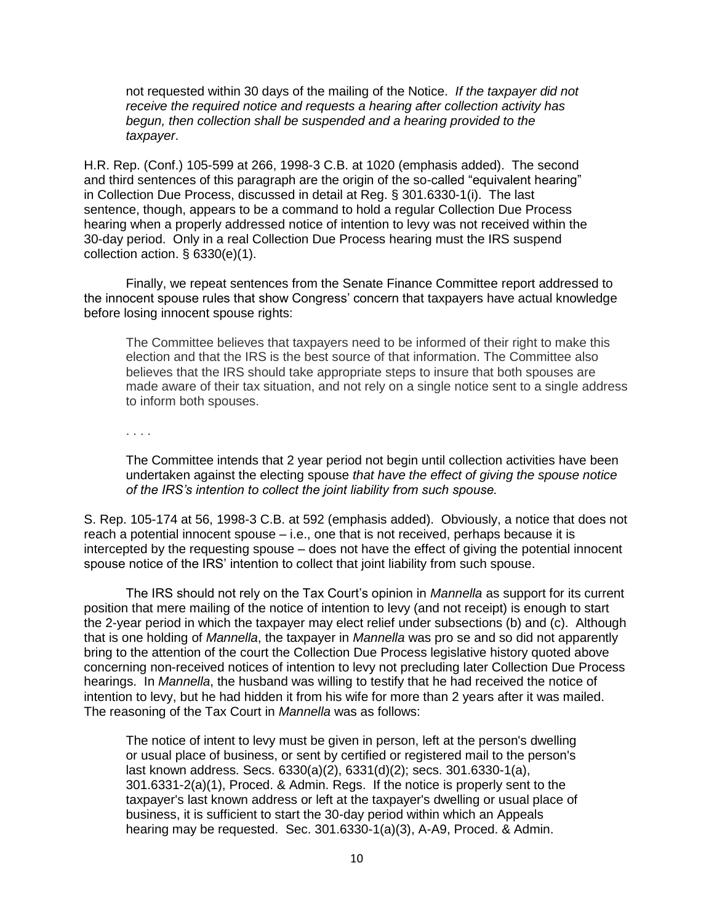not requested within 30 days of the mailing of the Notice. *If the taxpayer did not receive the required notice and requests a hearing after collection activity has begun, then collection shall be suspended and a hearing provided to the taxpayer*.

H.R. Rep. (Conf.) 105-599 at 266, 1998-3 C.B. at 1020 (emphasis added). The second and third sentences of this paragraph are the origin of the so-called "equivalent hearing" in Collection Due Process, discussed in detail at Reg. § 301.6330-1(i). The last sentence, though, appears to be a command to hold a regular Collection Due Process hearing when a properly addressed notice of intention to levy was not received within the 30-day period. Only in a real Collection Due Process hearing must the IRS suspend collection action. § 6330(e)(1).

Finally, we repeat sentences from the Senate Finance Committee report addressed to the innocent spouse rules that show Congress' concern that taxpayers have actual knowledge before losing innocent spouse rights:

The Committee believes that taxpayers need to be informed of their right to make this election and that the IRS is the best source of that information. The Committee also believes that the IRS should take appropriate steps to insure that both spouses are made aware of their tax situation, and not rely on a single notice sent to a single address to inform both spouses.

. . . .

The Committee intends that 2 year period not begin until collection activities have been undertaken against the electing spouse *that have the effect of giving the spouse notice of the IRS's intention to collect the joint liability from such spouse.*

S. Rep. 105-174 at 56, 1998-3 C.B. at 592 (emphasis added). Obviously, a notice that does not reach a potential innocent spouse – i.e., one that is not received, perhaps because it is intercepted by the requesting spouse – does not have the effect of giving the potential innocent spouse notice of the IRS' intention to collect that joint liability from such spouse.

The IRS should not rely on the Tax Court's opinion in *Mannella* as support for its current position that mere mailing of the notice of intention to levy (and not receipt) is enough to start the 2-year period in which the taxpayer may elect relief under subsections (b) and (c). Although that is one holding of *Mannella*, the taxpayer in *Mannella* was pro se and so did not apparently bring to the attention of the court the Collection Due Process legislative history quoted above concerning non-received notices of intention to levy not precluding later Collection Due Process hearings. In *Mannella*, the husband was willing to testify that he had received the notice of intention to levy, but he had hidden it from his wife for more than 2 years after it was mailed. The reasoning of the Tax Court in *Mannella* was as follows:

The notice of intent to levy must be given in person, left at the person's dwelling or usual place of business, or sent by certified or registered mail to the person's last known address. Secs. 6330(a)(2), 6331(d)(2); secs. 301.6330-1(a), 301.6331-2(a)(1), Proced. & Admin. Regs. If the notice is properly sent to the taxpayer's last known address or left at the taxpayer's dwelling or usual place of business, it is sufficient to start the 30-day period within which an Appeals hearing may be requested. Sec. 301.6330-1(a)(3), A-A9, Proced. & Admin.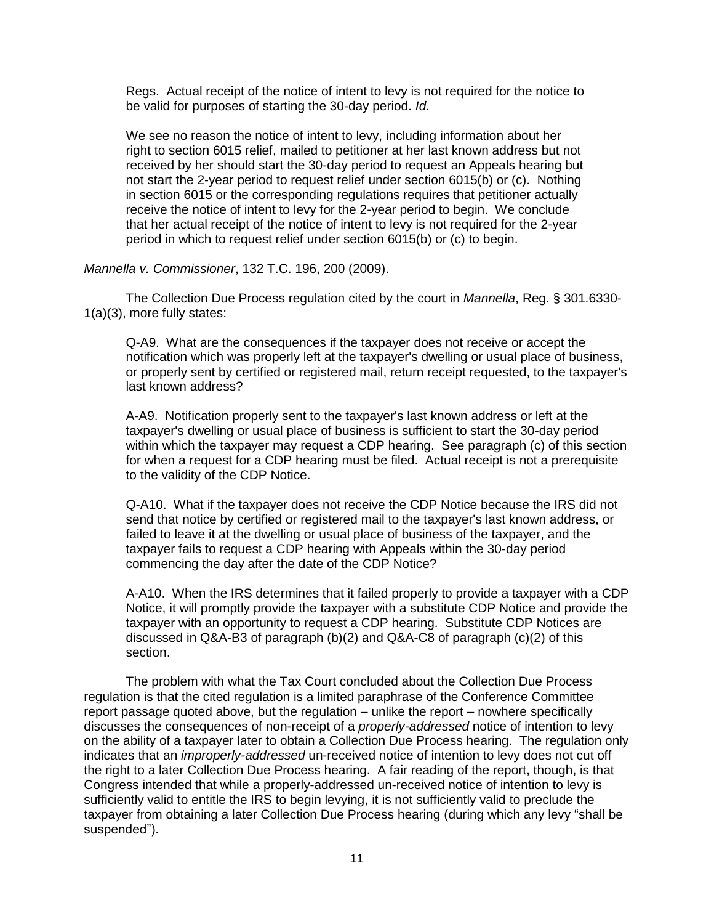Regs. Actual receipt of the notice of intent to levy is not required for the notice to be valid for purposes of starting the 30-day period. *Id.*

We see no reason the notice of intent to levy, including information about her right to section 6015 relief, mailed to petitioner at her last known address but not received by her should start the 30-day period to request an Appeals hearing but not start the 2-year period to request relief under section 6015(b) or (c). Nothing in section 6015 or the corresponding regulations requires that petitioner actually receive the notice of intent to levy for the 2-year period to begin. We conclude that her actual receipt of the notice of intent to levy is not required for the 2-year period in which to request relief under section 6015(b) or (c) to begin.

### *Mannella v. Commissioner*, 132 T.C. 196, 200 (2009).

The Collection Due Process regulation cited by the court in *Mannella*, Reg. § 301.6330- 1(a)(3), more fully states:

Q-A9. What are the consequences if the taxpayer does not receive or accept the notification which was properly left at the taxpayer's dwelling or usual place of business, or properly sent by certified or registered mail, return receipt requested, to the taxpayer's last known address?

A-A9. Notification properly sent to the taxpayer's last known address or left at the taxpayer's dwelling or usual place of business is sufficient to start the 30-day period within which the taxpayer may request a CDP hearing. See paragraph (c) of this section for when a request for a CDP hearing must be filed. Actual receipt is not a prerequisite to the validity of the CDP Notice.

Q-A10. What if the taxpayer does not receive the CDP Notice because the IRS did not send that notice by certified or registered mail to the taxpayer's last known address, or failed to leave it at the dwelling or usual place of business of the taxpayer, and the taxpayer fails to request a CDP hearing with Appeals within the 30-day period commencing the day after the date of the CDP Notice?

A-A10. When the IRS determines that it failed properly to provide a taxpayer with a CDP Notice, it will promptly provide the taxpayer with a substitute CDP Notice and provide the taxpayer with an opportunity to request a CDP hearing. Substitute CDP Notices are discussed in Q&A-B3 of paragraph (b)(2) and Q&A-C8 of paragraph (c)(2) of this section.

The problem with what the Tax Court concluded about the Collection Due Process regulation is that the cited regulation is a limited paraphrase of the Conference Committee report passage quoted above, but the regulation – unlike the report – nowhere specifically discusses the consequences of non-receipt of a *properly-addressed* notice of intention to levy on the ability of a taxpayer later to obtain a Collection Due Process hearing. The regulation only indicates that an *improperly-addressed* un-received notice of intention to levy does not cut off the right to a later Collection Due Process hearing. A fair reading of the report, though, is that Congress intended that while a properly-addressed un-received notice of intention to levy is sufficiently valid to entitle the IRS to begin levying, it is not sufficiently valid to preclude the taxpayer from obtaining a later Collection Due Process hearing (during which any levy "shall be suspended").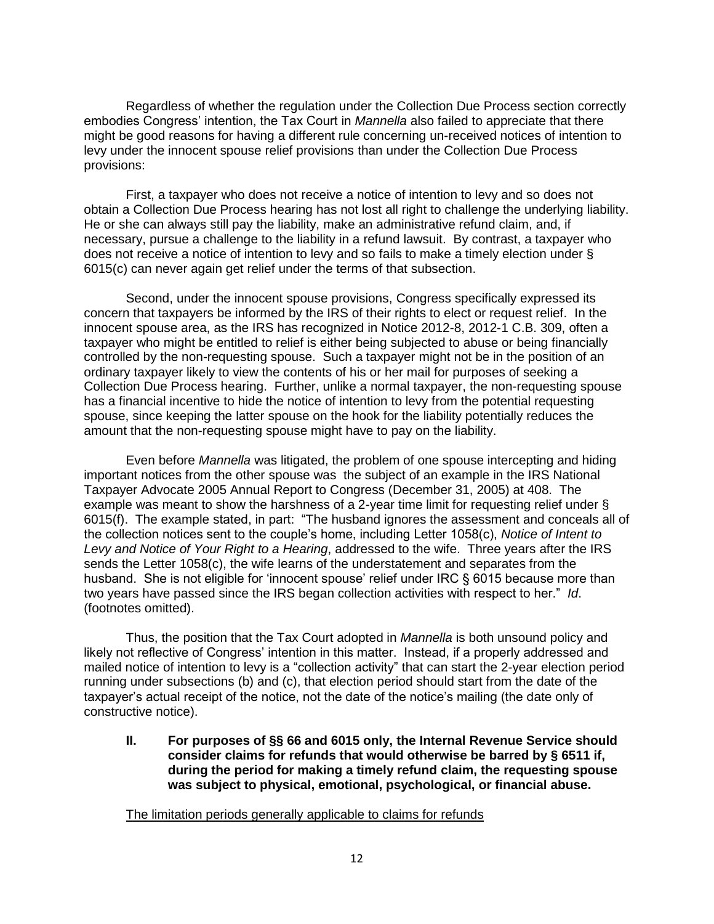Regardless of whether the regulation under the Collection Due Process section correctly embodies Congress' intention, the Tax Court in *Mannella* also failed to appreciate that there might be good reasons for having a different rule concerning un-received notices of intention to levy under the innocent spouse relief provisions than under the Collection Due Process provisions:

First, a taxpayer who does not receive a notice of intention to levy and so does not obtain a Collection Due Process hearing has not lost all right to challenge the underlying liability. He or she can always still pay the liability, make an administrative refund claim, and, if necessary, pursue a challenge to the liability in a refund lawsuit. By contrast, a taxpayer who does not receive a notice of intention to levy and so fails to make a timely election under § 6015(c) can never again get relief under the terms of that subsection.

Second, under the innocent spouse provisions, Congress specifically expressed its concern that taxpayers be informed by the IRS of their rights to elect or request relief. In the innocent spouse area, as the IRS has recognized in Notice 2012-8, 2012-1 C.B. 309, often a taxpayer who might be entitled to relief is either being subjected to abuse or being financially controlled by the non-requesting spouse. Such a taxpayer might not be in the position of an ordinary taxpayer likely to view the contents of his or her mail for purposes of seeking a Collection Due Process hearing. Further, unlike a normal taxpayer, the non-requesting spouse has a financial incentive to hide the notice of intention to levy from the potential requesting spouse, since keeping the latter spouse on the hook for the liability potentially reduces the amount that the non-requesting spouse might have to pay on the liability.

Even before *Mannella* was litigated, the problem of one spouse intercepting and hiding important notices from the other spouse was the subject of an example in the IRS National Taxpayer Advocate 2005 Annual Report to Congress (December 31, 2005) at 408. The example was meant to show the harshness of a 2-year time limit for requesting relief under § 6015(f). The example stated, in part: "The husband ignores the assessment and conceals all of the collection notices sent to the couple's home, including Letter 1058(c), *Notice of Intent to Levy and Notice of Your Right to a Hearing*, addressed to the wife. Three years after the IRS sends the Letter 1058(c), the wife learns of the understatement and separates from the husband. She is not eligible for 'innocent spouse' relief under IRC § 6015 because more than two years have passed since the IRS began collection activities with respect to her." *Id*. (footnotes omitted).

Thus, the position that the Tax Court adopted in *Mannella* is both unsound policy and likely not reflective of Congress' intention in this matter. Instead, if a properly addressed and mailed notice of intention to levy is a "collection activity" that can start the 2-year election period running under subsections (b) and (c), that election period should start from the date of the taxpayer's actual receipt of the notice, not the date of the notice's mailing (the date only of constructive notice).

**II. For purposes of §§ 66 and 6015 only, the Internal Revenue Service should consider claims for refunds that would otherwise be barred by § 6511 if, during the period for making a timely refund claim, the requesting spouse was subject to physical, emotional, psychological, or financial abuse.**

The limitation periods generally applicable to claims for refunds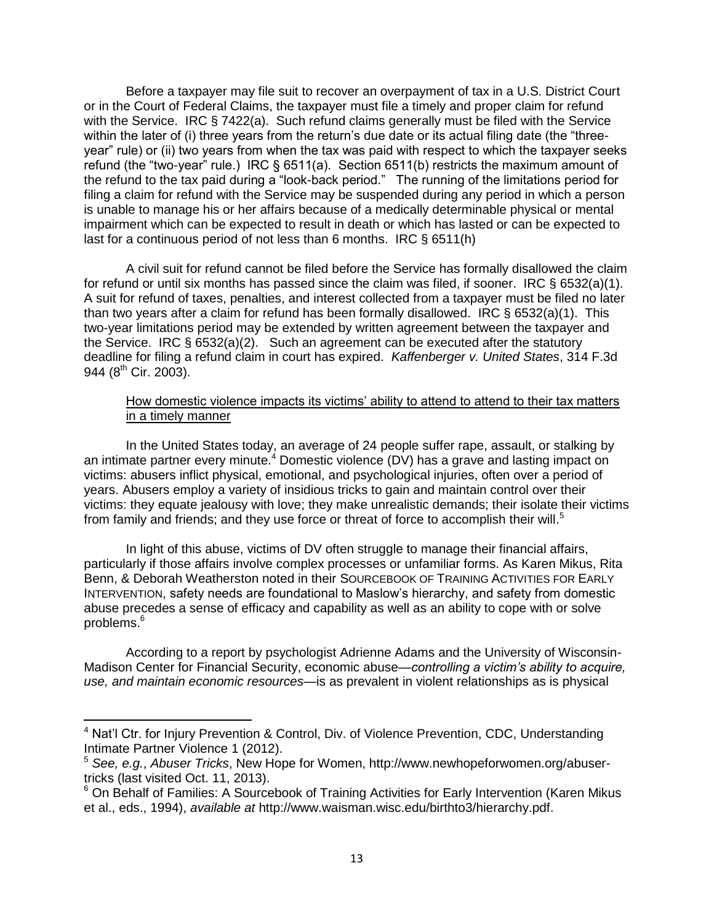Before a taxpayer may file suit to recover an overpayment of tax in a U.S. District Court or in the Court of Federal Claims, the taxpayer must file a timely and proper claim for refund with the Service. IRC § 7422(a). Such refund claims generally must be filed with the Service within the later of (i) three years from the return's due date or its actual filing date (the "threeyear" rule) or (ii) two years from when the tax was paid with respect to which the taxpayer seeks refund (the "two-year" rule.) IRC § 6511(a). Section 6511(b) restricts the maximum amount of the refund to the tax paid during a "look-back period." The running of the limitations period for filing a claim for refund with the Service may be suspended during any period in which a person is unable to manage his or her affairs because of a medically determinable physical or mental impairment which can be expected to result in death or which has lasted or can be expected to last for a continuous period of not less than 6 months. IRC § 6511(h)

A civil suit for refund cannot be filed before the Service has formally disallowed the claim for refund or until six months has passed since the claim was filed, if sooner. IRC  $\S$  6532(a)(1). A suit for refund of taxes, penalties, and interest collected from a taxpayer must be filed no later than two years after a claim for refund has been formally disallowed. IRC § 6532(a)(1). This two-year limitations period may be extended by written agreement between the taxpayer and the Service. IRC  $\S 6532(a)(2)$ . Such an agreement can be executed after the statutory deadline for filing a refund claim in court has expired. *Kaffenberger v. United States*, 314 F.3d 944 (8<sup>th</sup> Cir. 2003).

### How domestic violence impacts its victims' ability to attend to attend to their tax matters in a timely manner

In the United States today, an average of 24 people suffer rape, assault, or stalking by an intimate partner every minute.<sup>4</sup> Domestic violence (DV) has a grave and lasting impact on victims: abusers inflict physical, emotional, and psychological injuries, often over a period of years. Abusers employ a variety of insidious tricks to gain and maintain control over their victims: they equate jealousy with love; they make unrealistic demands; their isolate their victims from family and friends; and they use force or threat of force to accomplish their will.<sup>5</sup>

In light of this abuse, victims of DV often struggle to manage their financial affairs, particularly if those affairs involve complex processes or unfamiliar forms. As Karen Mikus, Rita Benn, & Deborah Weatherston noted in their SOURCEBOOK OF TRAINING ACTIVITIES FOR EARLY INTERVENTION, safety needs are foundational to Maslow's hierarchy, and safety from domestic abuse precedes a sense of efficacy and capability as well as an ability to cope with or solve problems.<sup>6</sup>

According to a report by psychologist Adrienne Adams and the University of Wisconsin-Madison Center for Financial Security, economic abuse—*controlling a victim's ability to acquire, use, and maintain economic resources*—is as prevalent in violent relationships as is physical

 $\overline{\phantom{a}}$ 

<sup>&</sup>lt;sup>4</sup> Nat'l Ctr. for Injury Prevention & Control, Div. of Violence Prevention, CDC, Understanding Intimate Partner Violence 1 (2012).

<sup>5</sup> *See, e.g.*, *Abuser Tricks*, New Hope for Women, http://www.newhopeforwomen.org/abusertricks (last visited Oct. 11, 2013).

<sup>&</sup>lt;sup>6</sup> On Behalf of Families: A Sourcebook of Training Activities for Early Intervention (Karen Mikus et al., eds., 1994), *available at* http://www.waisman.wisc.edu/birthto3/hierarchy.pdf.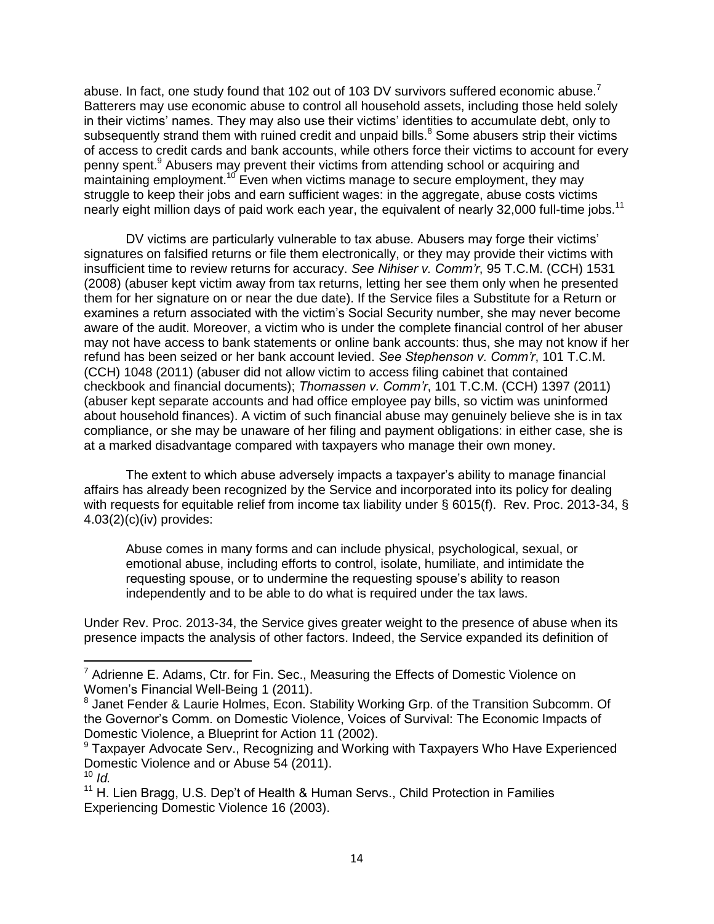abuse. In fact, one study found that 102 out of 103 DV survivors suffered economic abuse.<sup>7</sup> Batterers may use economic abuse to control all household assets, including those held solely in their victims' names. They may also use their victims' identities to accumulate debt, only to subsequently strand them with ruined credit and unpaid bills.<sup>8</sup> Some abusers strip their victims of access to credit cards and bank accounts, while others force their victims to account for every penny spent.<sup>9</sup> Abusers may prevent their victims from attending school or acquiring and  $m$  maintaining employment.<sup>10</sup> Even when victims manage to secure employment, they may struggle to keep their jobs and earn sufficient wages: in the aggregate, abuse costs victims nearly eight million days of paid work each year, the equivalent of nearly 32,000 full-time jobs.<sup>11</sup>

DV victims are particularly vulnerable to tax abuse. Abusers may forge their victims' signatures on falsified returns or file them electronically, or they may provide their victims with insufficient time to review returns for accuracy. *See Nihiser v. Comm'r*, 95 T.C.M. (CCH) 1531 (2008) (abuser kept victim away from tax returns, letting her see them only when he presented them for her signature on or near the due date). If the Service files a Substitute for a Return or examines a return associated with the victim's Social Security number, she may never become aware of the audit. Moreover, a victim who is under the complete financial control of her abuser may not have access to bank statements or online bank accounts: thus, she may not know if her refund has been seized or her bank account levied. *See Stephenson v. Comm'r*, 101 T.C.M. (CCH) 1048 (2011) (abuser did not allow victim to access filing cabinet that contained checkbook and financial documents); *Thomassen v. Comm'r*, 101 T.C.M. (CCH) 1397 (2011) (abuser kept separate accounts and had office employee pay bills, so victim was uninformed about household finances). A victim of such financial abuse may genuinely believe she is in tax compliance, or she may be unaware of her filing and payment obligations: in either case, she is at a marked disadvantage compared with taxpayers who manage their own money.

The extent to which abuse adversely impacts a taxpayer's ability to manage financial affairs has already been recognized by the Service and incorporated into its policy for dealing with requests for equitable relief from income tax liability under § 6015(f). Rev. Proc. 2013-34, § 4.03(2)(c)(iv) provides:

Abuse comes in many forms and can include physical, psychological, sexual, or emotional abuse, including efforts to control, isolate, humiliate, and intimidate the requesting spouse, or to undermine the requesting spouse's ability to reason independently and to be able to do what is required under the tax laws.

Under Rev. Proc. 2013-34, the Service gives greater weight to the presence of abuse when its presence impacts the analysis of other factors. Indeed, the Service expanded its definition of

 $\overline{\phantom{a}}$  $7$  Adrienne E. Adams, Ctr. for Fin. Sec., Measuring the Effects of Domestic Violence on Women's Financial Well-Being 1 (2011).

<sup>&</sup>lt;sup>8</sup> Janet Fender & Laurie Holmes, Econ. Stability Working Grp. of the Transition Subcomm. Of the Governor's Comm. on Domestic Violence, Voices of Survival: The Economic Impacts of Domestic Violence, a Blueprint for Action 11 (2002).

<sup>&</sup>lt;sup>9</sup> Taxpayer Advocate Serv., Recognizing and Working with Taxpayers Who Have Experienced Domestic Violence and or Abuse 54 (2011).

 $10$  *Id.* 

 $11$  H. Lien Bragg, U.S. Dep't of Health & Human Servs., Child Protection in Families Experiencing Domestic Violence 16 (2003).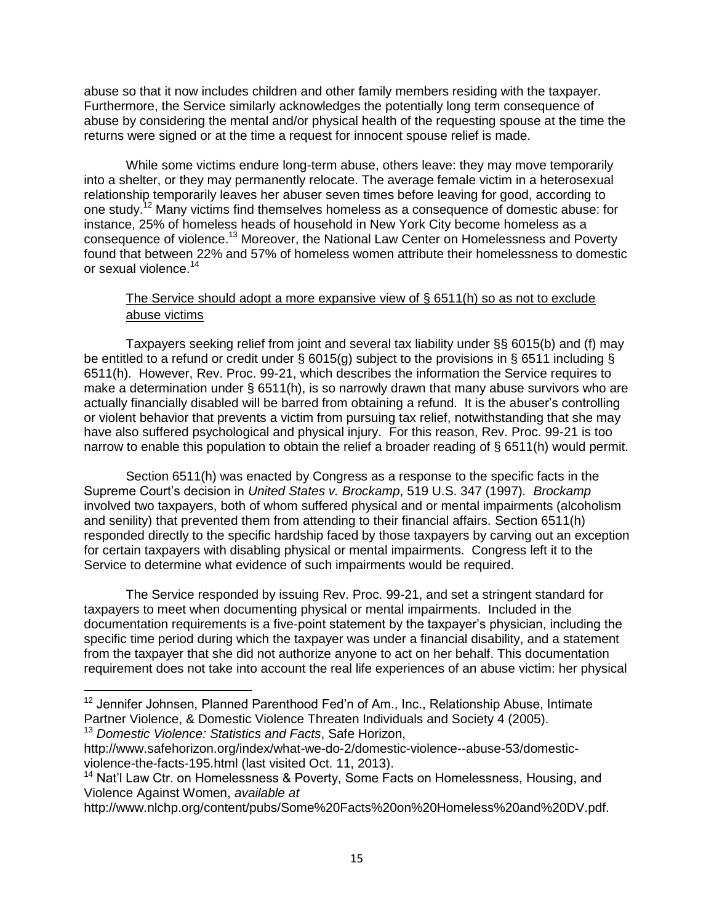abuse so that it now includes children and other family members residing with the taxpayer. Furthermore, the Service similarly acknowledges the potentially long term consequence of abuse by considering the mental and/or physical health of the requesting spouse at the time the returns were signed or at the time a request for innocent spouse relief is made.

While some victims endure long-term abuse, others leave: they may move temporarily into a shelter, or they may permanently relocate. The average female victim in a heterosexual relationship temporarily leaves her abuser seven times before leaving for good, according to one study.<sup>12</sup> Many victims find themselves homeless as a consequence of domestic abuse: for instance, 25% of homeless heads of household in New York City become homeless as a consequence of violence.<sup>13</sup> Moreover, the National Law Center on Homelessness and Poverty found that between 22% and 57% of homeless women attribute their homelessness to domestic or sexual violence. 14

## The Service should adopt a more expansive view of § 6511(h) so as not to exclude abuse victims

Taxpayers seeking relief from joint and several tax liability under §§ 6015(b) and (f) may be entitled to a refund or credit under § 6015(g) subject to the provisions in § 6511 including § 6511(h). However, Rev. Proc. 99-21, which describes the information the Service requires to make a determination under § 6511(h), is so narrowly drawn that many abuse survivors who are actually financially disabled will be barred from obtaining a refund. It is the abuser's controlling or violent behavior that prevents a victim from pursuing tax relief, notwithstanding that she may have also suffered psychological and physical injury. For this reason, Rev. Proc. 99-21 is too narrow to enable this population to obtain the relief a broader reading of § 6511(h) would permit.

Section 6511(h) was enacted by Congress as a response to the specific facts in the Supreme Court's decision in *United States v. Brockamp*, 519 U.S. 347 (1997)*. Brockamp* involved two taxpayers, both of whom suffered physical and or mental impairments (alcoholism and senility) that prevented them from attending to their financial affairs. Section 6511(h) responded directly to the specific hardship faced by those taxpayers by carving out an exception for certain taxpayers with disabling physical or mental impairments. Congress left it to the Service to determine what evidence of such impairments would be required.

The Service responded by issuing Rev. Proc. 99-21, and set a stringent standard for taxpayers to meet when documenting physical or mental impairments. Included in the documentation requirements is a five-point statement by the taxpayer's physician, including the specific time period during which the taxpayer was under a financial disability, and a statement from the taxpayer that she did not authorize anyone to act on her behalf. This documentation requirement does not take into account the real life experiences of an abuse victim: her physical

<sup>13</sup> *Domestic Violence: Statistics and Facts*, Safe Horizon,

 $\overline{a}$ 

 $12$  Jennifer Johnsen, Planned Parenthood Fed'n of Am., Inc., Relationship Abuse, Intimate Partner Violence, & Domestic Violence Threaten Individuals and Society 4 (2005).

http://www.safehorizon.org/index/what-we-do-2/domestic-violence--abuse-53/domesticviolence-the-facts-195.html (last visited Oct. 11, 2013).

<sup>&</sup>lt;sup>14</sup> Nat'l Law Ctr. on Homelessness & Poverty, Some Facts on Homelessness, Housing, and Violence Against Women, *available at*

http://www.nlchp.org/content/pubs/Some%20Facts%20on%20Homeless%20and%20DV.pdf.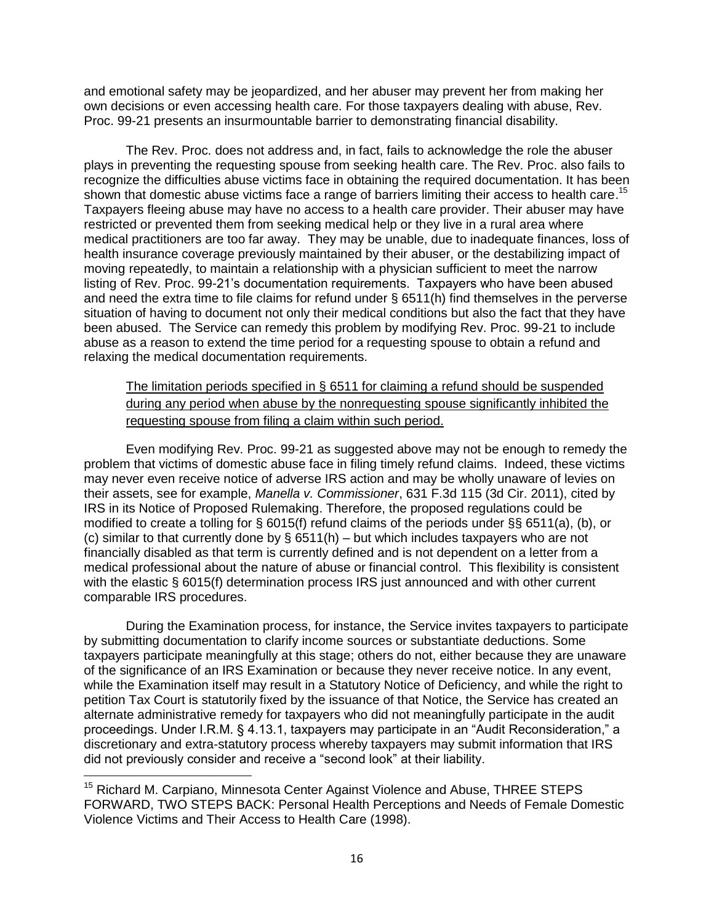and emotional safety may be jeopardized, and her abuser may prevent her from making her own decisions or even accessing health care. For those taxpayers dealing with abuse, Rev. Proc. 99-21 presents an insurmountable barrier to demonstrating financial disability.

The Rev. Proc. does not address and, in fact, fails to acknowledge the role the abuser plays in preventing the requesting spouse from seeking health care. The Rev. Proc. also fails to recognize the difficulties abuse victims face in obtaining the required documentation. It has been shown that domestic abuse victims face a range of barriers limiting their access to health care.<sup>15</sup> Taxpayers fleeing abuse may have no access to a health care provider. Their abuser may have restricted or prevented them from seeking medical help or they live in a rural area where medical practitioners are too far away. They may be unable, due to inadequate finances, loss of health insurance coverage previously maintained by their abuser, or the destabilizing impact of moving repeatedly, to maintain a relationship with a physician sufficient to meet the narrow listing of Rev. Proc. 99-21's documentation requirements. Taxpayers who have been abused and need the extra time to file claims for refund under § 6511(h) find themselves in the perverse situation of having to document not only their medical conditions but also the fact that they have been abused. The Service can remedy this problem by modifying Rev. Proc. 99-21 to include abuse as a reason to extend the time period for a requesting spouse to obtain a refund and relaxing the medical documentation requirements.

The limitation periods specified in § 6511 for claiming a refund should be suspended during any period when abuse by the nonrequesting spouse significantly inhibited the requesting spouse from filing a claim within such period.

Even modifying Rev. Proc. 99-21 as suggested above may not be enough to remedy the problem that victims of domestic abuse face in filing timely refund claims. Indeed, these victims may never even receive notice of adverse IRS action and may be wholly unaware of levies on their assets, see for example, *Manella v. Commissioner*, 631 F.3d 115 (3d Cir. 2011), cited by IRS in its Notice of Proposed Rulemaking. Therefore, the proposed regulations could be modified to create a tolling for § 6015(f) refund claims of the periods under §§ 6511(a), (b), or (c) similar to that currently done by  $\S$  6511(h) – but which includes taxpayers who are not financially disabled as that term is currently defined and is not dependent on a letter from a medical professional about the nature of abuse or financial control. This flexibility is consistent with the elastic § 6015(f) determination process IRS just announced and with other current comparable IRS procedures.

During the Examination process, for instance, the Service invites taxpayers to participate by submitting documentation to clarify income sources or substantiate deductions. Some taxpayers participate meaningfully at this stage; others do not, either because they are unaware of the significance of an IRS Examination or because they never receive notice. In any event, while the Examination itself may result in a Statutory Notice of Deficiency, and while the right to petition Tax Court is statutorily fixed by the issuance of that Notice, the Service has created an alternate administrative remedy for taxpayers who did not meaningfully participate in the audit proceedings. Under I.R.M. § 4.13.1, taxpayers may participate in an "Audit Reconsideration," a discretionary and extra-statutory process whereby taxpayers may submit information that IRS did not previously consider and receive a "second look" at their liability.

 $\overline{\phantom{a}}$ 

<sup>&</sup>lt;sup>15</sup> Richard M. Carpiano, Minnesota Center Against Violence and Abuse, THREE STEPS FORWARD, TWO STEPS BACK: Personal Health Perceptions and Needs of Female Domestic Violence Victims and Their Access to Health Care (1998).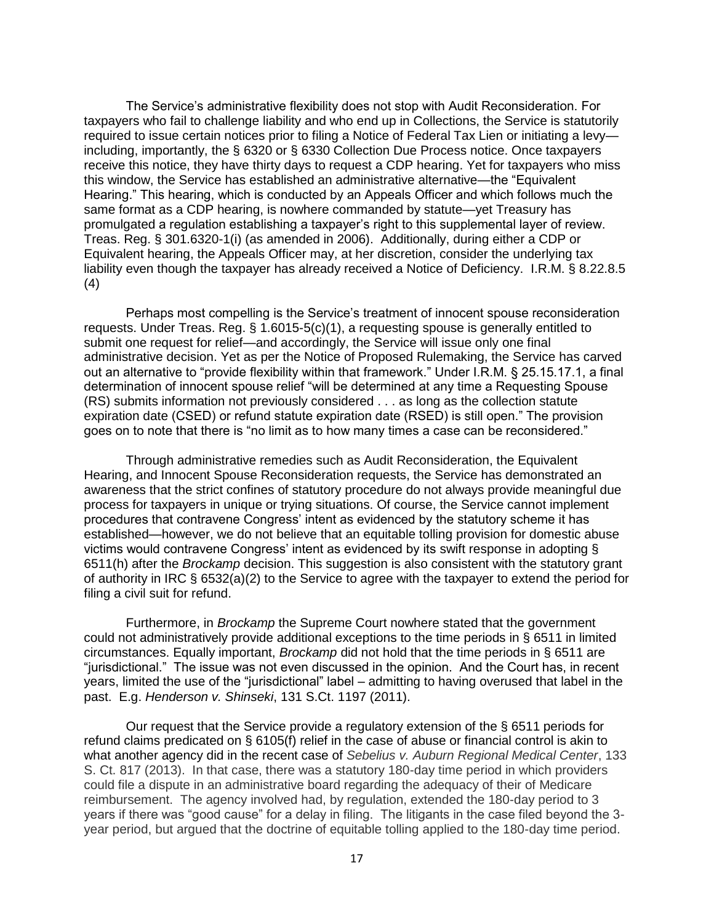The Service's administrative flexibility does not stop with Audit Reconsideration. For taxpayers who fail to challenge liability and who end up in Collections, the Service is statutorily required to issue certain notices prior to filing a Notice of Federal Tax Lien or initiating a levy including, importantly, the § 6320 or § 6330 Collection Due Process notice. Once taxpayers receive this notice, they have thirty days to request a CDP hearing. Yet for taxpayers who miss this window, the Service has established an administrative alternative—the "Equivalent Hearing." This hearing, which is conducted by an Appeals Officer and which follows much the same format as a CDP hearing, is nowhere commanded by statute—yet Treasury has promulgated a regulation establishing a taxpayer's right to this supplemental layer of review. Treas. Reg. § 301.6320-1(i) (as amended in 2006). Additionally, during either a CDP or Equivalent hearing, the Appeals Officer may, at her discretion, consider the underlying tax liability even though the taxpayer has already received a Notice of Deficiency. I.R.M. § 8.22.8.5 (4)

Perhaps most compelling is the Service's treatment of innocent spouse reconsideration requests. Under Treas. Reg. § 1.6015-5(c)(1), a requesting spouse is generally entitled to submit one request for relief—and accordingly, the Service will issue only one final administrative decision. Yet as per the Notice of Proposed Rulemaking, the Service has carved out an alternative to "provide flexibility within that framework." Under I.R.M. § 25.15.17.1, a final determination of innocent spouse relief "will be determined at any time a Requesting Spouse (RS) submits information not previously considered . . . as long as the collection statute expiration date (CSED) or refund statute expiration date (RSED) is still open." The provision goes on to note that there is "no limit as to how many times a case can be reconsidered."

Through administrative remedies such as Audit Reconsideration, the Equivalent Hearing, and Innocent Spouse Reconsideration requests, the Service has demonstrated an awareness that the strict confines of statutory procedure do not always provide meaningful due process for taxpayers in unique or trying situations. Of course, the Service cannot implement procedures that contravene Congress' intent as evidenced by the statutory scheme it has established—however, we do not believe that an equitable tolling provision for domestic abuse victims would contravene Congress' intent as evidenced by its swift response in adopting § 6511(h) after the *Brockamp* decision. This suggestion is also consistent with the statutory grant of authority in IRC § 6532(a)(2) to the Service to agree with the taxpayer to extend the period for filing a civil suit for refund.

Furthermore, in *Brockamp* the Supreme Court nowhere stated that the government could not administratively provide additional exceptions to the time periods in § 6511 in limited circumstances. Equally important, *Brockamp* did not hold that the time periods in § 6511 are "jurisdictional." The issue was not even discussed in the opinion. And the Court has, in recent years, limited the use of the "jurisdictional" label – admitting to having overused that label in the past. E.g. *Henderson v. Shinseki*, 131 S.Ct. 1197 (2011).

Our request that the Service provide a regulatory extension of the § 6511 periods for refund claims predicated on § 6105(f) relief in the case of abuse or financial control is akin to what another agency did in the recent case of *Sebelius v. Auburn Regional Medical Center*, 133 S. Ct. 817 (2013). In that case, there was a statutory 180-day time period in which providers could file a dispute in an administrative board regarding the adequacy of their of Medicare reimbursement. The agency involved had, by regulation, extended the 180-day period to 3 years if there was "good cause" for a delay in filing. The litigants in the case filed beyond the 3 year period, but argued that the doctrine of equitable tolling applied to the 180-day time period.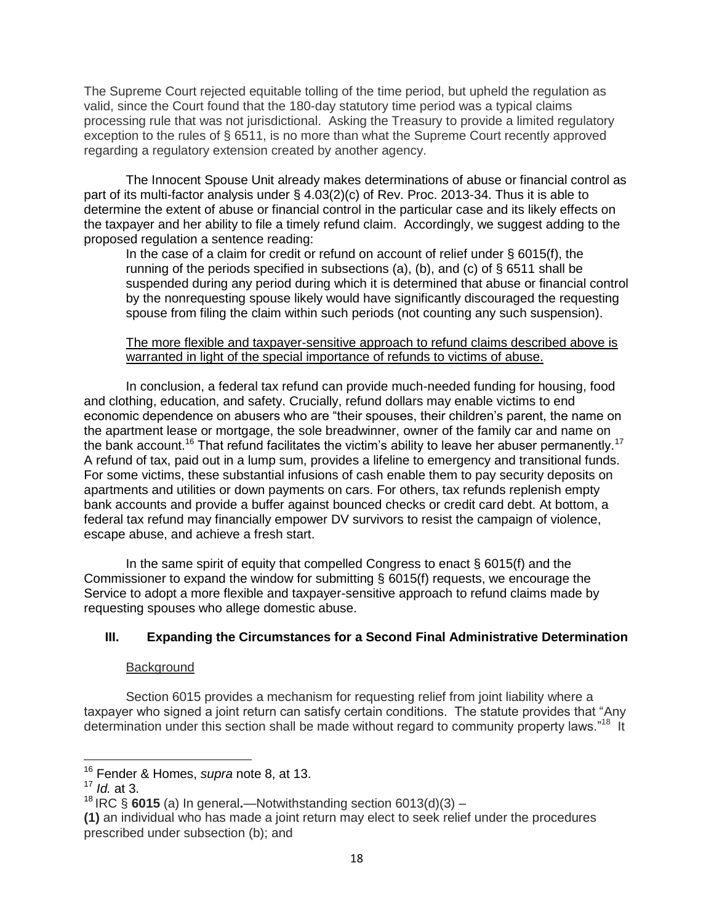The Supreme Court rejected equitable tolling of the time period, but upheld the regulation as valid, since the Court found that the 180-day statutory time period was a typical claims processing rule that was not jurisdictional. Asking the Treasury to provide a limited regulatory exception to the rules of § 6511, is no more than what the Supreme Court recently approved regarding a regulatory extension created by another agency.

The Innocent Spouse Unit already makes determinations of abuse or financial control as part of its multi-factor analysis under § 4.03(2)(c) of Rev. Proc. 2013-34. Thus it is able to determine the extent of abuse or financial control in the particular case and its likely effects on the taxpayer and her ability to file a timely refund claim. Accordingly, we suggest adding to the proposed regulation a sentence reading:

In the case of a claim for credit or refund on account of relief under § 6015(f), the running of the periods specified in subsections (a), (b), and (c) of  $\S$  6511 shall be suspended during any period during which it is determined that abuse or financial control by the nonrequesting spouse likely would have significantly discouraged the requesting spouse from filing the claim within such periods (not counting any such suspension).

### The more flexible and taxpayer-sensitive approach to refund claims described above is warranted in light of the special importance of refunds to victims of abuse.

In conclusion, a federal tax refund can provide much-needed funding for housing, food and clothing, education, and safety. Crucially, refund dollars may enable victims to end economic dependence on abusers who are "their spouses, their children's parent, the name on the apartment lease or mortgage, the sole breadwinner, owner of the family car and name on the bank account.<sup>16</sup> That refund facilitates the victim's ability to leave her abuser permanently.<sup>17</sup> A refund of tax, paid out in a lump sum, provides a lifeline to emergency and transitional funds. For some victims, these substantial infusions of cash enable them to pay security deposits on apartments and utilities or down payments on cars. For others, tax refunds replenish empty bank accounts and provide a buffer against bounced checks or credit card debt. At bottom, a federal tax refund may financially empower DV survivors to resist the campaign of violence, escape abuse, and achieve a fresh start.

In the same spirit of equity that compelled Congress to enact  $\S 6015(f)$  and the Commissioner to expand the window for submitting § 6015(f) requests, we encourage the Service to adopt a more flexible and taxpayer-sensitive approach to refund claims made by requesting spouses who allege domestic abuse.

## **III. Expanding the Circumstances for a Second Final Administrative Determination**

## Background

Section 6015 provides a mechanism for requesting relief from joint liability where a taxpayer who signed a joint return can satisfy certain conditions. The statute provides that "Any determination under this section shall be made without regard to community property laws."<sup>18</sup> It

 $\overline{\phantom{a}}$ 

<sup>16</sup> Fender & Homes, *supra* note 8, at 13.

<sup>17</sup> *Id.* at 3.

<sup>18</sup> IRC § **6015** (a) In general**.**—Notwithstanding section 6013(d)(3) –

**<sup>(1)</sup>** an individual who has made a joint return may elect to seek relief under the procedures prescribed under subsection (b); and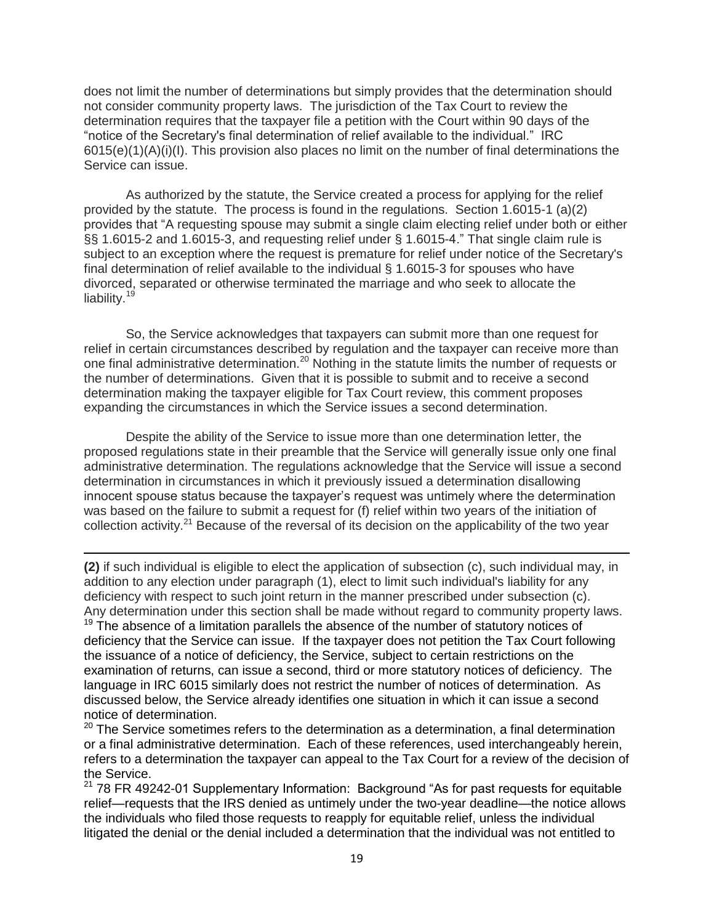does not limit the number of determinations but simply provides that the determination should not consider community property laws. The jurisdiction of the Tax Court to review the determination requires that the taxpayer file a petition with the Court within 90 days of the "notice of the Secretary's final determination of relief available to the individual." IRC  $6015(e)(1)(A)(i)(I)$ . This provision also places no limit on the number of final determinations the Service can issue.

As authorized by the statute, the Service created a process for applying for the relief provided by the statute. The process is found in the regulations. Section 1.6015-1 (a)(2) provides that "A requesting spouse may submit a single claim electing relief under both or either §§ 1.6015-2 and 1.6015-3, and requesting relief under § 1.6015-4." That single claim rule is subject to an exception where the request is premature for relief under notice of the Secretary's final determination of relief available to the individual § 1.6015-3 for spouses who have divorced, separated or otherwise terminated the marriage and who seek to allocate the liability.<sup>19</sup>

So, the Service acknowledges that taxpayers can submit more than one request for relief in certain circumstances described by regulation and the taxpayer can receive more than one final administrative determination.<sup>20</sup> Nothing in the statute limits the number of requests or the number of determinations. Given that it is possible to submit and to receive a second determination making the taxpayer eligible for Tax Court review, this comment proposes expanding the circumstances in which the Service issues a second determination.

Despite the ability of the Service to issue more than one determination letter, the proposed regulations state in their preamble that the Service will generally issue only one final administrative determination. The regulations acknowledge that the Service will issue a second determination in circumstances in which it previously issued a determination disallowing innocent spouse status because the taxpayer's request was untimely where the determination was based on the failure to submit a request for (f) relief within two years of the initiation of collection activity.<sup>21</sup> Because of the reversal of its decision on the applicability of the two year

**(2)** if such individual is eligible to elect the application of subsection (c), such individual may, in addition to any election under paragraph (1), elect to limit such individual's liability for any deficiency with respect to such joint return in the manner prescribed under subsection (c). Any determination under this section shall be made without regard to community property laws.

l

 $19$  The absence of a limitation parallels the absence of the number of statutory notices of deficiency that the Service can issue. If the taxpayer does not petition the Tax Court following the issuance of a notice of deficiency, the Service, subject to certain restrictions on the examination of returns, can issue a second, third or more statutory notices of deficiency. The language in IRC 6015 similarly does not restrict the number of notices of determination. As discussed below, the Service already identifies one situation in which it can issue a second notice of determination.

 $20$  The Service sometimes refers to the determination as a determination, a final determination or a final administrative determination. Each of these references, used interchangeably herein, refers to a determination the taxpayer can appeal to the Tax Court for a review of the decision of the Service.

 $21$  78 FR 49242-01 Supplementary Information: Background "As for past requests for equitable relief—requests that the IRS denied as untimely under the two-year deadline—the notice allows the individuals who filed those requests to reapply for equitable relief, unless the individual litigated the denial or the denial included a determination that the individual was not entitled to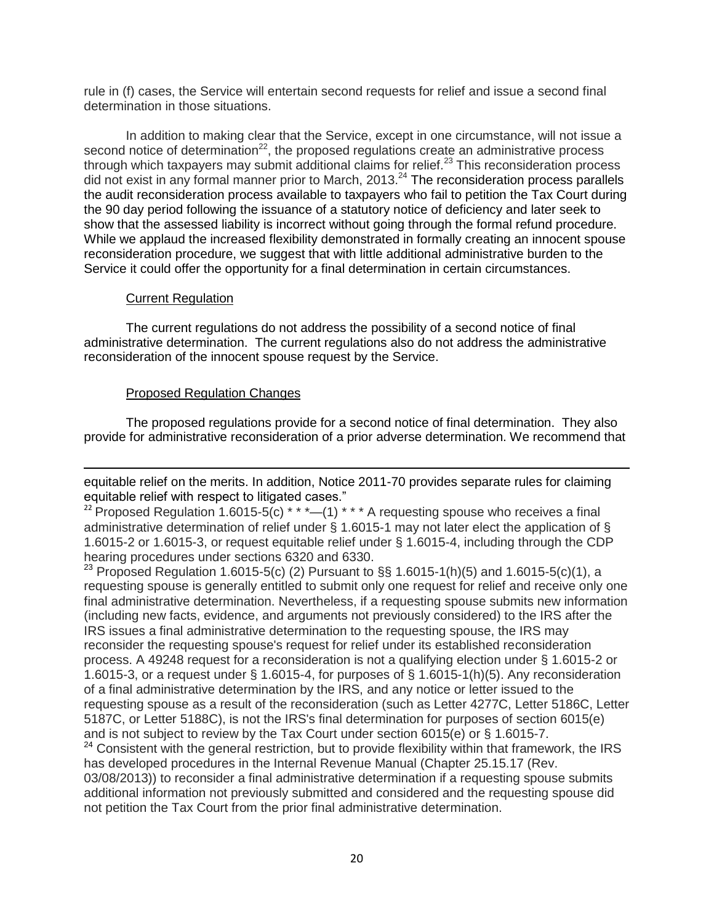rule in (f) cases, the Service will entertain second requests for relief and issue a second final determination in those situations.

In addition to making clear that the Service, except in one circumstance, will not issue a second notice of determination<sup>22</sup>, the proposed regulations create an administrative process through which taxpayers may submit additional claims for relief.<sup>23</sup> This reconsideration process did not exist in any formal manner prior to March, 2013.<sup>24</sup> The reconsideration process parallels the audit reconsideration process available to taxpayers who fail to petition the Tax Court during the 90 day period following the issuance of a statutory notice of deficiency and later seek to show that the assessed liability is incorrect without going through the formal refund procedure. While we applaud the increased flexibility demonstrated in formally creating an innocent spouse reconsideration procedure, we suggest that with little additional administrative burden to the Service it could offer the opportunity for a final determination in certain circumstances.

### Current Regulation

The current regulations do not address the possibility of a second notice of final administrative determination. The current regulations also do not address the administrative reconsideration of the innocent spouse request by the Service.

### Proposed Regulation Changes

The proposed regulations provide for a second notice of final determination. They also provide for administrative reconsideration of a prior adverse determination. We recommend that

 $\overline{\phantom{a}}$ equitable relief on the merits. In addition, Notice 2011-70 provides separate rules for claiming equitable relief with respect to litigated cases."

<sup>22</sup> Proposed Regulation 1.6015-5(c) \* \* \* - (1) \* \* \* A requesting spouse who receives a final administrative determination of relief under § 1.6015-1 may not later elect the application of § 1.6015-2 or 1.6015-3, or request equitable relief under § 1.6015-4, including through the CDP hearing procedures under sections 6320 and 6330.

<sup>23</sup> Proposed Regulation 1.6015-5(c) (2) Pursuant to §§ 1.6015-1(h)(5) and 1.6015-5(c)(1), a requesting spouse is generally entitled to submit only one request for relief and receive only one final administrative determination. Nevertheless, if a requesting spouse submits new information (including new facts, evidence, and arguments not previously considered) to the IRS after the IRS issues a final administrative determination to the requesting spouse, the IRS may reconsider the requesting spouse's request for relief under its established reconsideration process. A 49248 request for a reconsideration is not a qualifying election under § 1.6015-2 or 1.6015-3, or a request under § 1.6015-4, for purposes of § 1.6015-1(h)(5). Any reconsideration of a final administrative determination by the IRS, and any notice or letter issued to the requesting spouse as a result of the reconsideration (such as Letter 4277C, Letter 5186C, Letter 5187C, or Letter 5188C), is not the IRS's final determination for purposes of section 6015(e) and is not subject to review by the Tax Court under section 6015(e) or § 1.6015-7.

<sup>24</sup> Consistent with the general restriction, but to provide flexibility within that framework, the IRS has developed procedures in the Internal Revenue Manual (Chapter 25.15.17 (Rev. 03/08/2013)) to reconsider a final administrative determination if a requesting spouse submits additional information not previously submitted and considered and the requesting spouse did not petition the Tax Court from the prior final administrative determination.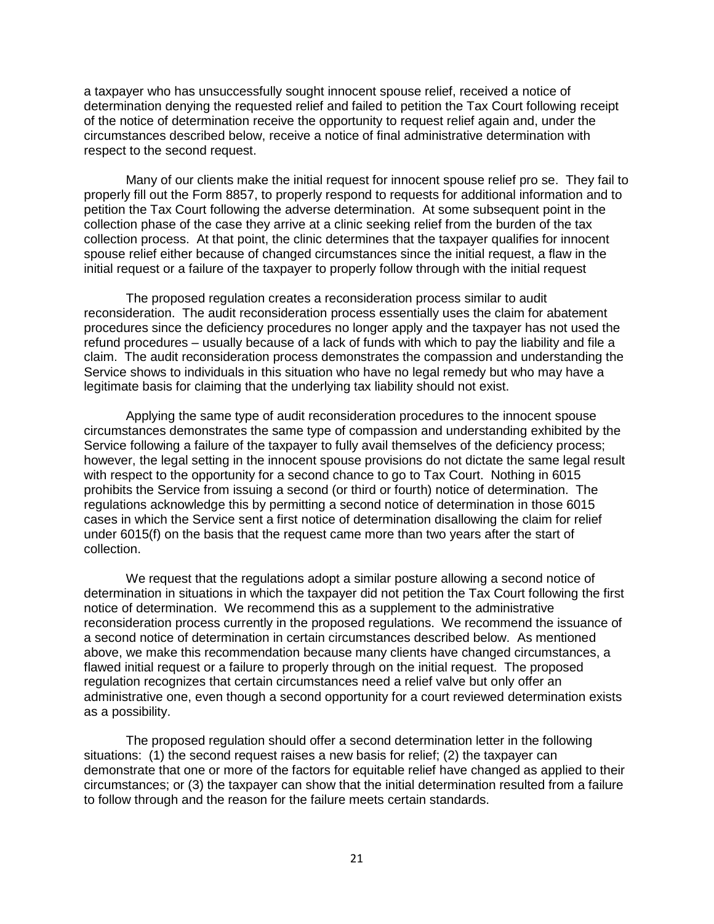a taxpayer who has unsuccessfully sought innocent spouse relief, received a notice of determination denying the requested relief and failed to petition the Tax Court following receipt of the notice of determination receive the opportunity to request relief again and, under the circumstances described below, receive a notice of final administrative determination with respect to the second request.

Many of our clients make the initial request for innocent spouse relief pro se. They fail to properly fill out the Form 8857, to properly respond to requests for additional information and to petition the Tax Court following the adverse determination. At some subsequent point in the collection phase of the case they arrive at a clinic seeking relief from the burden of the tax collection process. At that point, the clinic determines that the taxpayer qualifies for innocent spouse relief either because of changed circumstances since the initial request, a flaw in the initial request or a failure of the taxpayer to properly follow through with the initial request

The proposed regulation creates a reconsideration process similar to audit reconsideration. The audit reconsideration process essentially uses the claim for abatement procedures since the deficiency procedures no longer apply and the taxpayer has not used the refund procedures – usually because of a lack of funds with which to pay the liability and file a claim. The audit reconsideration process demonstrates the compassion and understanding the Service shows to individuals in this situation who have no legal remedy but who may have a legitimate basis for claiming that the underlying tax liability should not exist.

Applying the same type of audit reconsideration procedures to the innocent spouse circumstances demonstrates the same type of compassion and understanding exhibited by the Service following a failure of the taxpayer to fully avail themselves of the deficiency process; however, the legal setting in the innocent spouse provisions do not dictate the same legal result with respect to the opportunity for a second chance to go to Tax Court. Nothing in 6015 prohibits the Service from issuing a second (or third or fourth) notice of determination. The regulations acknowledge this by permitting a second notice of determination in those 6015 cases in which the Service sent a first notice of determination disallowing the claim for relief under 6015(f) on the basis that the request came more than two years after the start of collection.

We request that the regulations adopt a similar posture allowing a second notice of determination in situations in which the taxpayer did not petition the Tax Court following the first notice of determination. We recommend this as a supplement to the administrative reconsideration process currently in the proposed regulations. We recommend the issuance of a second notice of determination in certain circumstances described below. As mentioned above, we make this recommendation because many clients have changed circumstances, a flawed initial request or a failure to properly through on the initial request. The proposed regulation recognizes that certain circumstances need a relief valve but only offer an administrative one, even though a second opportunity for a court reviewed determination exists as a possibility.

The proposed regulation should offer a second determination letter in the following situations: (1) the second request raises a new basis for relief; (2) the taxpayer can demonstrate that one or more of the factors for equitable relief have changed as applied to their circumstances; or (3) the taxpayer can show that the initial determination resulted from a failure to follow through and the reason for the failure meets certain standards.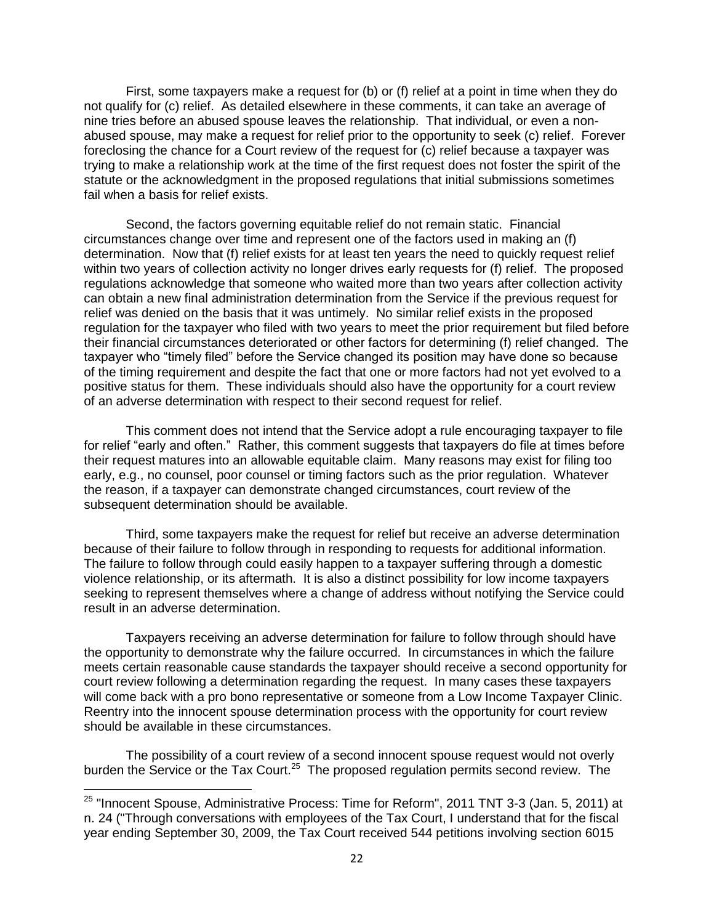First, some taxpayers make a request for (b) or (f) relief at a point in time when they do not qualify for (c) relief. As detailed elsewhere in these comments, it can take an average of nine tries before an abused spouse leaves the relationship. That individual, or even a nonabused spouse, may make a request for relief prior to the opportunity to seek (c) relief. Forever foreclosing the chance for a Court review of the request for (c) relief because a taxpayer was trying to make a relationship work at the time of the first request does not foster the spirit of the statute or the acknowledgment in the proposed regulations that initial submissions sometimes fail when a basis for relief exists.

Second, the factors governing equitable relief do not remain static. Financial circumstances change over time and represent one of the factors used in making an (f) determination. Now that (f) relief exists for at least ten years the need to quickly request relief within two years of collection activity no longer drives early requests for (f) relief. The proposed regulations acknowledge that someone who waited more than two years after collection activity can obtain a new final administration determination from the Service if the previous request for relief was denied on the basis that it was untimely. No similar relief exists in the proposed regulation for the taxpayer who filed with two years to meet the prior requirement but filed before their financial circumstances deteriorated or other factors for determining (f) relief changed. The taxpayer who "timely filed" before the Service changed its position may have done so because of the timing requirement and despite the fact that one or more factors had not yet evolved to a positive status for them. These individuals should also have the opportunity for a court review of an adverse determination with respect to their second request for relief.

This comment does not intend that the Service adopt a rule encouraging taxpayer to file for relief "early and often." Rather, this comment suggests that taxpayers do file at times before their request matures into an allowable equitable claim. Many reasons may exist for filing too early, e.g., no counsel, poor counsel or timing factors such as the prior regulation. Whatever the reason, if a taxpayer can demonstrate changed circumstances, court review of the subsequent determination should be available.

Third, some taxpayers make the request for relief but receive an adverse determination because of their failure to follow through in responding to requests for additional information. The failure to follow through could easily happen to a taxpayer suffering through a domestic violence relationship, or its aftermath. It is also a distinct possibility for low income taxpayers seeking to represent themselves where a change of address without notifying the Service could result in an adverse determination.

Taxpayers receiving an adverse determination for failure to follow through should have the opportunity to demonstrate why the failure occurred. In circumstances in which the failure meets certain reasonable cause standards the taxpayer should receive a second opportunity for court review following a determination regarding the request. In many cases these taxpayers will come back with a pro bono representative or someone from a Low Income Taxpayer Clinic. Reentry into the innocent spouse determination process with the opportunity for court review should be available in these circumstances.

The possibility of a court review of a second innocent spouse request would not overly burden the Service or the Tax Court.<sup>25</sup> The proposed regulation permits second review. The

 $\overline{a}$ 

<sup>&</sup>lt;sup>25</sup> "Innocent Spouse, Administrative Process: Time for Reform", 2011 TNT 3-3 (Jan. 5, 2011) at n. 24 ("Through conversations with employees of the Tax Court, I understand that for the fiscal year ending September 30, 2009, the Tax Court received 544 petitions involving section 6015